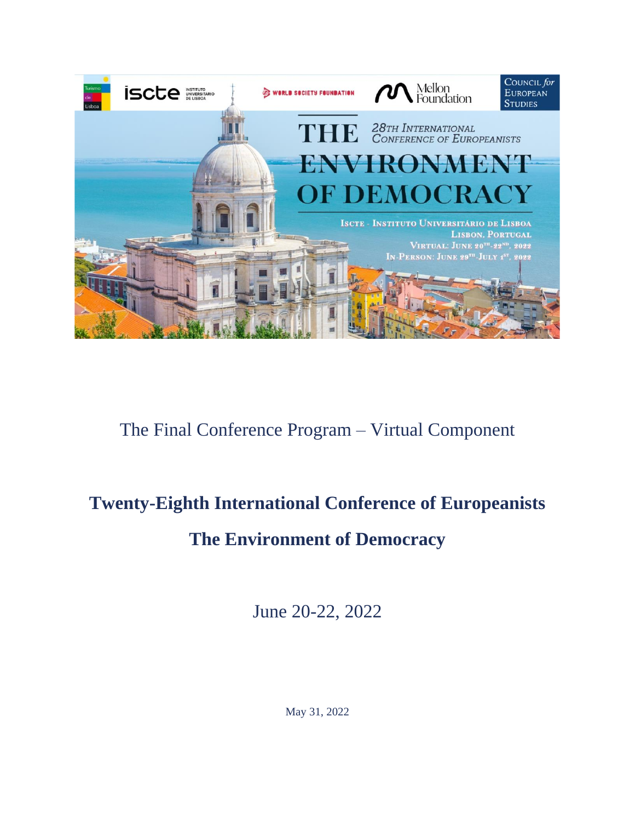

# The Final Conference Program – Virtual Component

# **Twenty-Eighth International Conference of Europeanists**

# **The Environment of Democracy**

June 20-22, 2022

May 31, 2022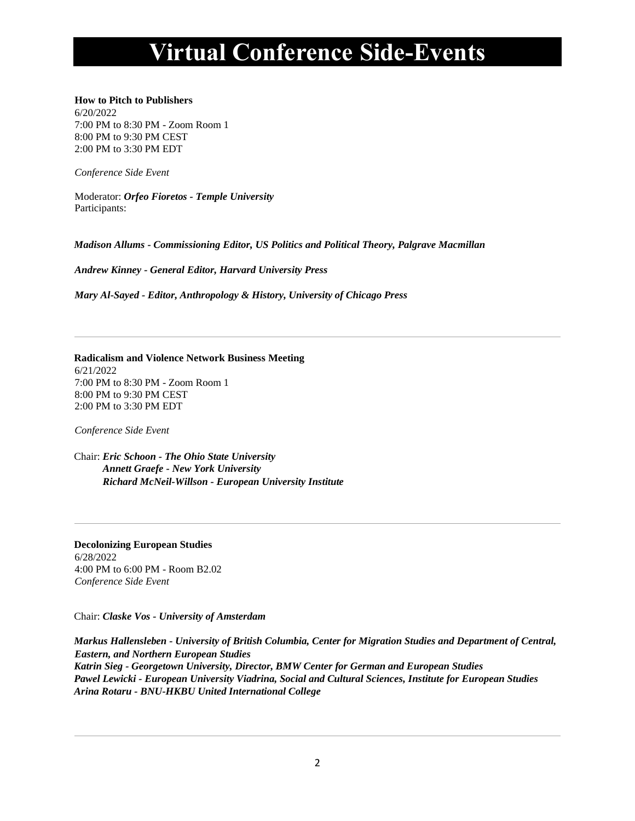# **Virtual Conference Side-Events**

## **How to Pitch to Publishers**

6/20/2022 7:00 PM to 8:30 PM - Zoom Room 1 8:00 PM to 9:30 PM CEST 2:00 PM to 3:30 PM EDT

*Conference Side Event*

Moderator: *Orfeo Fioretos - Temple University* Participants:

*Madison Allums - Commissioning Editor, US Politics and Political Theory, Palgrave Macmillan*

*Andrew Kinney - General Editor, Harvard University Press*

*Mary Al-Sayed - Editor, Anthropology & History, University of Chicago Press*

#### **Radicalism and Violence Network Business Meeting** 6/21/2022 7:00 PM to 8:30 PM - Zoom Room 1 8:00 PM to 9:30 PM CEST 2:00 PM to 3:30 PM EDT

*Conference Side Event*

Chair: *Eric Schoon - The Ohio State University Annett Graefe - New York University Richard McNeil-Willson - European University Institute*

**Decolonizing European Studies** 6/28/2022 4:00 PM to 6:00 PM - Room B2.02 *Conference Side Event*

Chair: *Claske Vos - University of Amsterdam*

*Markus Hallensleben - University of British Columbia, Center for Migration Studies and Department of Central, Eastern, and Northern European Studies Katrin Sieg - Georgetown University, Director, BMW Center for German and European Studies Pawel Lewicki - European University Viadrina, Social and Cultural Sciences, Institute for European Studies Arina Rotaru - BNU-HKBU United International College*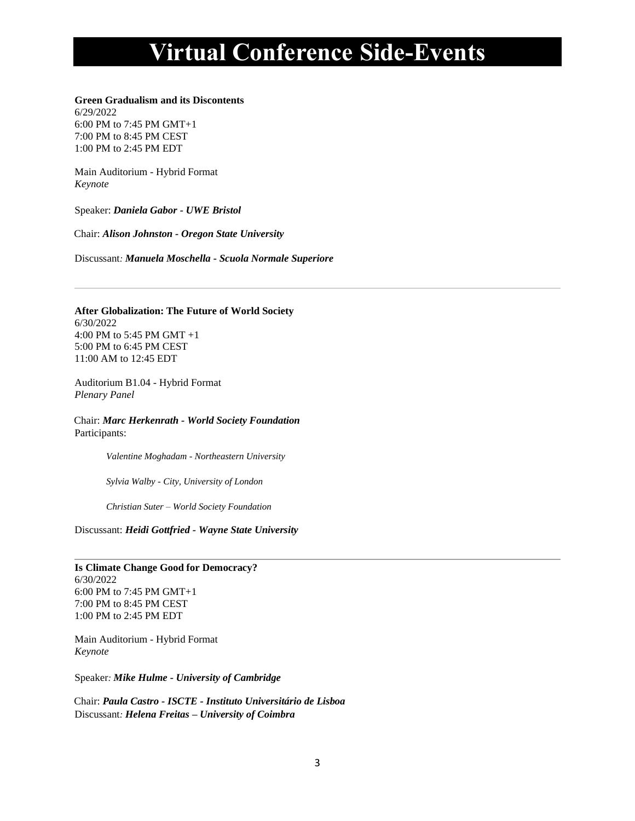# **Virtual Conference Side-Events**

# **Green Gradualism and its Discontents**

6/29/2022 6:00 PM to 7:45 PM GMT+1 7:00 PM to 8:45 PM CEST 1:00 PM to 2:45 PM EDT

Main Auditorium - Hybrid Format *Keynote*

Speaker: *Daniela Gabor - UWE Bristol*

Chair: *Alison Johnston - Oregon State University*

Discussant*: Manuela Moschella - Scuola Normale Superiore*

## **After Globalization: The Future of World Society** 6/30/2022 4:00 PM to 5:45 PM GMT +1 5:00 PM to 6:45 PM CEST

Auditorium B1.04 - Hybrid Format *Plenary Panel*

11:00 AM to 12:45 EDT

Chair: *Marc Herkenrath - World Society Foundation* Participants:

*Valentine Moghadam - Northeastern University*

*Sylvia Walby - City, University of London*

*Christian Suter – World Society Foundation*

Discussant: *Heidi Gottfried - Wayne State University*

**Is Climate Change Good for Democracy?** 6/30/2022 6:00 PM to 7:45 PM GMT+1 7:00 PM to 8:45 PM CEST 1:00 PM to 2:45 PM EDT

Main Auditorium - Hybrid Format *Keynote*

Speaker*: Mike Hulme - University of Cambridge*

Chair: *Paula Castro - ISCTE - Instituto Universitário de Lisboa* Discussant*: Helena Freitas – University of Coimbra*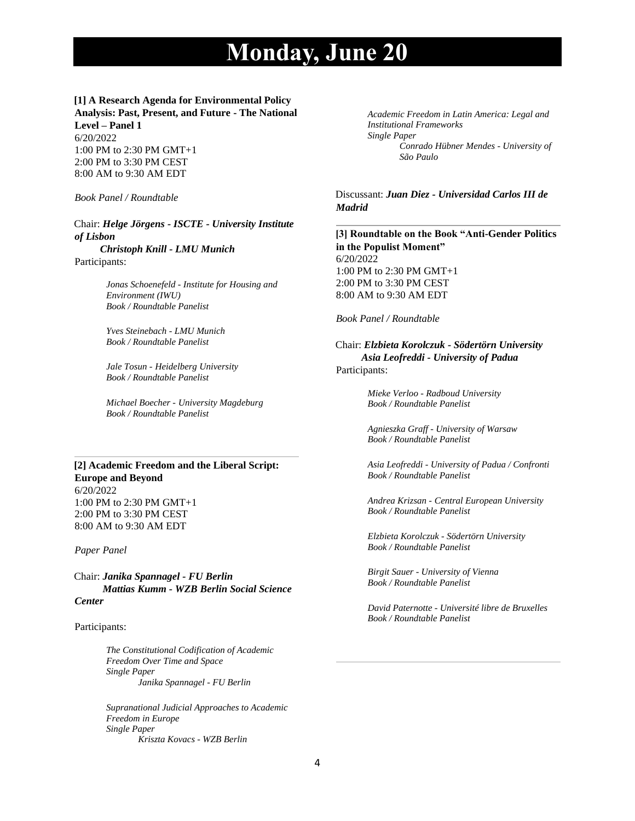# **[1] A Research Agenda for Environmental Policy Analysis: Past, Present, and Future - The National**

**Level – Panel 1** 6/20/2022 1:00 PM to 2:30 PM GMT+1 2:00 PM to 3:30 PM CEST 8:00 AM to 9:30 AM EDT

*Book Panel / Roundtable*

## Chair: *Helge Jörgens - ISCTE - University Institute of Lisbon*

 *Christoph Knill - LMU Munich* Participants:

> *Jonas Schoenefeld - Institute for Housing and Environment (IWU) Book / Roundtable Panelist*

*Yves Steinebach - LMU Munich Book / Roundtable Panelist*

*Jale Tosun - Heidelberg University Book / Roundtable Panelist*

*Michael Boecher - University Magdeburg Book / Roundtable Panelist*

### **[2] Academic Freedom and the Liberal Script: Europe and Beyond** 6/20/2022 1:00 PM to 2:30 PM GMT+1 2:00 PM to 3:30 PM CEST

*Paper Panel*

8:00 AM to 9:30 AM EDT

Chair: *Janika Spannagel - FU Berlin Mattias Kumm - WZB Berlin Social Science Center*

#### Participants:

*The Constitutional Codification of Academic Freedom Over Time and Space Single Paper Janika Spannagel - FU Berlin*

*Supranational Judicial Approaches to Academic Freedom in Europe Single Paper Kriszta Kovacs - WZB Berlin*

*Academic Freedom in Latin America: Legal and Institutional Frameworks Single Paper Conrado Hübner Mendes - University of São Paulo*

Discussant: *Juan Diez - Universidad Carlos III de Madrid*

**[3] Roundtable on the Book "Anti-Gender Politics in the Populist Moment"** 6/20/2022 1:00 PM to 2:30 PM GMT+1 2:00 PM to 3:30 PM CEST 8:00 AM to 9:30 AM EDT

#### *Book Panel / Roundtable*

Chair: *Elzbieta Korolczuk - Södertörn University Asia Leofreddi - University of Padua* Participants:

> *Mieke Verloo - Radboud University Book / Roundtable Panelist*

*Agnieszka Graff - University of Warsaw Book / Roundtable Panelist*

*Asia Leofreddi - University of Padua / Confronti Book / Roundtable Panelist*

*Andrea Krizsan - Central European University Book / Roundtable Panelist*

*Elzbieta Korolczuk - Södertörn University Book / Roundtable Panelist*

*Birgit Sauer - University of Vienna Book / Roundtable Panelist*

*David Paternotte - Université libre de Bruxelles Book / Roundtable Panelist*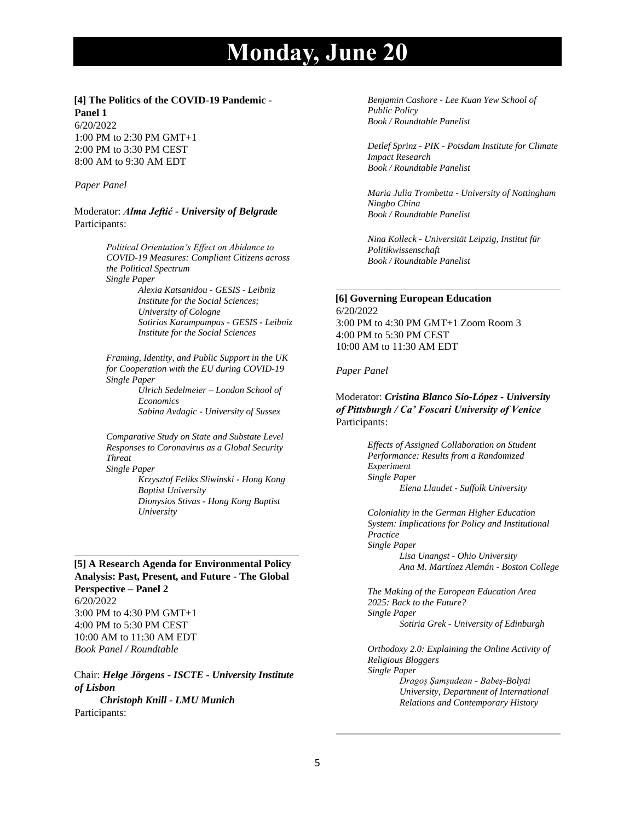## **[4] The Politics of the COVID-19 Pandemic - Panel 1**

6/20/2022 1:00 PM to 2:30 PM GMT+1 2:00 PM to 3:30 PM CEST 8:00 AM to 9:30 AM EDT

#### *Paper Panel*

Moderator: *Alma Jeftić - University of Belgrade* Participants:

> *Political Orientation's Effect on Abidance to COVID-19 Measures: Compliant Citizens across the Political Spectrum Single Paper*

> > *Alexia Katsanidou - GESIS - Leibniz Institute for the Social Sciences; University of Cologne Sotirios Karampampas - GESIS - Leibniz Institute for the Social Sciences*

*Framing, Identity, and Public Support in the UK for Cooperation with the EU during COVID-19 Single Paper*

> *Ulrich Sedelmeier – London School of Economics Sabina Avdagic - University of Sussex*

*Comparative Study on State and Substate Level Responses to Coronavirus as a Global Security Threat Single Paper*

*Krzysztof Feliks Sliwinski - Hong Kong Baptist University Dionysios Stivas - Hong Kong Baptist University*

## **[5] A Research Agenda for Environmental Policy Analysis: Past, Present, and Future - The Global Perspective – Panel 2**

6/20/2022 3:00 PM to 4:30 PM GMT+1 4:00 PM to 5:30 PM CEST 10:00 AM to 11:30 AM EDT *Book Panel / Roundtable*

Chair: *Helge Jörgens - ISCTE - University Institute of Lisbon*

 *Christoph Knill - LMU Munich* Participants:

*Benjamin Cashore - Lee Kuan Yew School of Public Policy Book / Roundtable Panelist*

*Detlef Sprinz - PIK - Potsdam Institute for Climate Impact Research Book / Roundtable Panelist*

*Maria Julia Trombetta - University of Nottingham Ningbo China Book / Roundtable Panelist*

*Nina Kolleck - Universität Leipzig, Institut für Politikwissenschaft Book / Roundtable Panelist*

# **[6] Governing European Education**

6/20/2022 3:00 PM to 4:30 PM GMT+1 Zoom Room 3 4:00 PM to 5:30 PM CEST 10:00 AM to 11:30 AM EDT

#### *Paper Panel*

## Moderator: *Cristina Blanco Sío-López - University of Pittsburgh / Ca' Foscari University of Venice* Participants:

*Effects of Assigned Collaboration on Student Performance: Results from a Randomized Experiment Single Paper Elena Llaudet - Suffolk University*

*Coloniality in the German Higher Education System: Implications for Policy and Institutional Practice Single Paper Lisa Unangst - Ohio University Ana M. Martínez Alemán - Boston College*

*The Making of the European Education Area 2025: Back to the Future? Single Paper Sotiria Grek - University of Edinburgh*

*Orthodoxy 2.0: Explaining the Online Activity of Religious Bloggers Single Paper Dragoș Șamșudean - Babeș-Bolyai University, Department of International Relations and Contemporary History*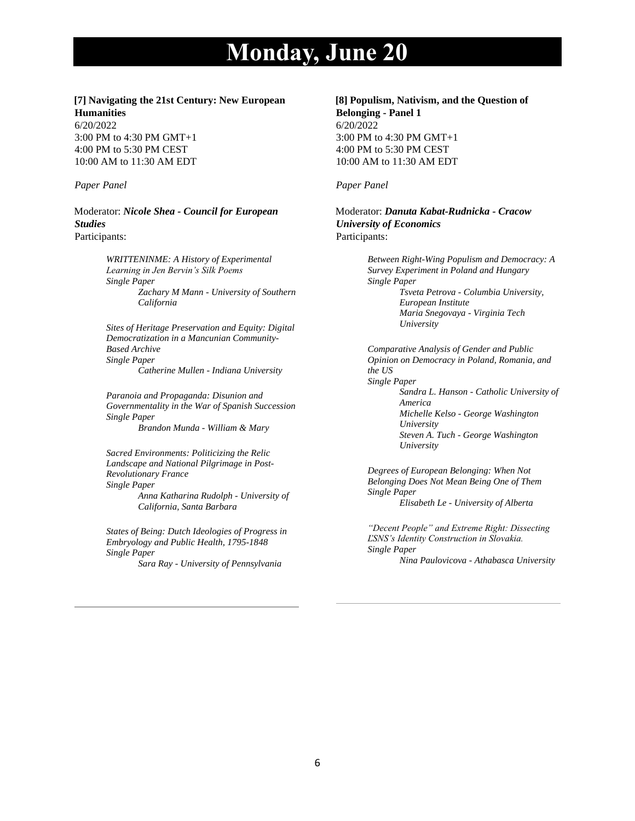## **[7] Navigating the 21st Century: New European Humanities**

6/20/2022 3:00 PM to 4:30 PM GMT+1 4:00 PM to 5:30 PM CEST 10:00 AM to 11:30 AM EDT

#### *Paper Panel*

Moderator: *Nicole Shea - Council for European Studies* Participants:

> *WRITTENINME: A History of Experimental Learning in Jen Bervin's Silk Poems Single Paper Zachary M Mann - University of Southern California*

> *Sites of Heritage Preservation and Equity: Digital Democratization in a Mancunian Community-Based Archive Single Paper Catherine Mullen - Indiana University*

> *Paranoia and Propaganda: Disunion and Governmentality in the War of Spanish Succession Single Paper Brandon Munda - William & Mary*

*Sacred Environments: Politicizing the Relic Landscape and National Pilgrimage in Post-Revolutionary France Single Paper Anna Katharina Rudolph - University of California, Santa Barbara*

*States of Being: Dutch Ideologies of Progress in Embryology and Public Health, 1795-1848 Single Paper Sara Ray - University of Pennsylvania*

**[8] Populism, Nativism, and the Question of Belonging - Panel 1**

6/20/2022 3:00 PM to 4:30 PM GMT+1 4:00 PM to 5:30 PM CEST 10:00 AM to 11:30 AM EDT

#### *Paper Panel*

Moderator: *Danuta Kabat-Rudnicka - Cracow University of Economics* Participants:

> *Between Right-Wing Populism and Democracy: A Survey Experiment in Poland and Hungary Single Paper Tsveta Petrova - Columbia University, European Institute Maria Snegovaya - Virginia Tech University*

*Comparative Analysis of Gender and Public Opinion on Democracy in Poland, Romania, and the US Single Paper Sandra L. Hanson - Catholic University of America Michelle Kelso - George Washington University Steven A. Tuch - George Washington University*

*Degrees of European Belonging: When Not Belonging Does Not Mean Being One of Them Single Paper Elisabeth Le - University of Alberta*

*"Decent People" and Extreme Right: Dissecting ĽSNS's Identity Construction in Slovakia. Single Paper Nina Paulovicova - Athabasca University*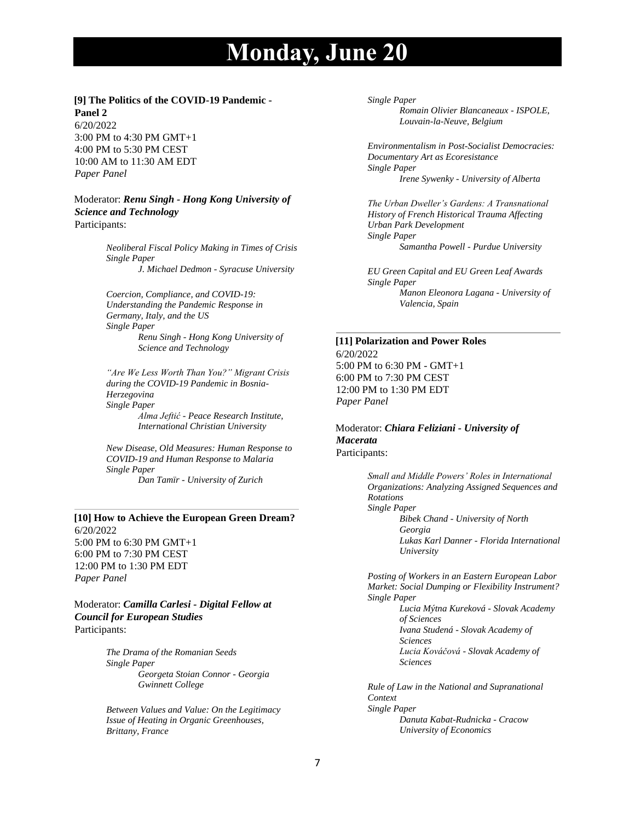#### **[9] The Politics of the COVID-19 Pandemic - Panel 2**

6/20/2022 3:00 PM to 4:30 PM GMT+1 4:00 PM to 5:30 PM CEST 10:00 AM to 11:30 AM EDT *Paper Panel*

### Moderator: *Renu Singh - Hong Kong University of Science and Technology* Participants:

*Neoliberal Fiscal Policy Making in Times of Crisis Single Paper J. Michael Dedmon - Syracuse University*

*Coercion, Compliance, and COVID-19: Understanding the Pandemic Response in Germany, Italy, and the US Single Paper Renu Singh - Hong Kong University of Science and Technology*

*"Are We Less Worth Than You?" Migrant Crisis during the COVID-19 Pandemic in Bosnia-Herzegovina Single Paper Alma Jeftić - Peace Research Institute, International Christian University*

*New Disease, Old Measures: Human Response to COVID-19 and Human Response to Malaria Single Paper Dan Tamïr - University of Zurich*

## **[10] How to Achieve the European Green Dream?** 6/20/2022

5:00 PM to 6:30 PM GMT+1 6:00 PM to 7:30 PM CEST 12:00 PM to 1:30 PM EDT *Paper Panel*

Moderator: *Camilla Carlesi - Digital Fellow at Council for European Studies* Participants:

> *The Drama of the Romanian Seeds Single Paper Georgeta Stoian Connor - Georgia Gwinnett College*

*Between Values and Value: On the Legitimacy Issue of Heating in Organic Greenhouses, Brittany, France*

#### *Single Paper*

*Romain Olivier Blancaneaux - ISPOLE, Louvain-la-Neuve, Belgium*

*Environmentalism in Post-Socialist Democracies: Documentary Art as Ecoresistance Single Paper Irene Sywenky - University of Alberta*

*The Urban Dweller's Gardens: A Transnational History of French Historical Trauma Affecting Urban Park Development Single Paper Samantha Powell - Purdue University*

*EU Green Capital and EU Green Leaf Awards Single Paper Manon Eleonora Lagana - University of Valencia, Spain*

#### **[11] Polarization and Power Roles**

6/20/2022 5:00 PM to 6:30 PM - GMT+1 6:00 PM to 7:30 PM CEST 12:00 PM to 1:30 PM EDT *Paper Panel*

### Moderator: *Chiara Feliziani - University of Macerata* Participants:

*Small and Middle Powers' Roles in International Organizations: Analyzing Assigned Sequences and Rotations Single Paper Bibek Chand - University of North Georgia Lukas Karl Danner - Florida International University*

*Posting of Workers in an Eastern European Labor Market: Social Dumping or Flexibility Instrument? Single Paper Lucia Mýtna Kureková - Slovak Academy of Sciences Ivana Studená - Slovak Academy of Sciences Lucia Kováčová - Slovak Academy of Sciences*

*Rule of Law in the National and Supranational Context Single Paper Danuta Kabat-Rudnicka - Cracow University of Economics*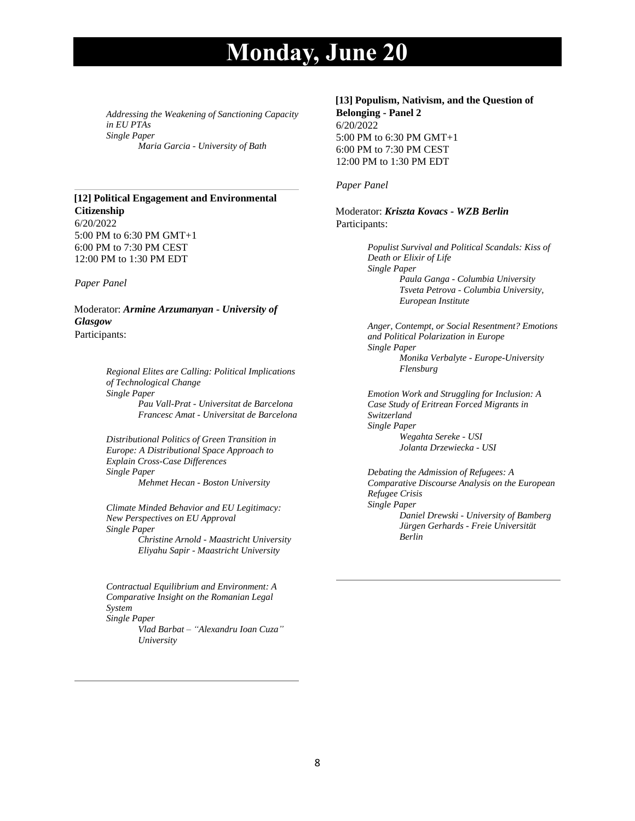*Addressing the Weakening of Sanctioning Capacity in EU PTAs Single Paper Maria Garcia - University of Bath*

# **[12] Political Engagement and Environmental Citizenship**

6/20/2022 5:00 PM to 6:30 PM GMT+1 6:00 PM to 7:30 PM CEST 12:00 PM to 1:30 PM EDT

*Paper Panel*

#### Moderator: *Armine Arzumanyan - University of Glasgow* Participants:

*Regional Elites are Calling: Political Implications of Technological Change Single Paper Pau Vall-Prat - Universitat de Barcelona Francesc Amat - Universitat de Barcelona*

*Distributional Politics of Green Transition in Europe: A Distributional Space Approach to Explain Cross-Case Differences Single Paper Mehmet Hecan - Boston University*

*Climate Minded Behavior and EU Legitimacy: New Perspectives on EU Approval Single Paper Christine Arnold - Maastricht University Eliyahu Sapir - Maastricht University*

*Contractual Equilibrium and Environment: A Comparative Insight on the Romanian Legal System Single Paper Vlad Barbat – "Alexandru Ioan Cuza" University*

#### **[13] Populism, Nativism, and the Question of Belonging - Panel 2**

6/20/2022 5:00 PM to 6:30 PM GMT+1 6:00 PM to 7:30 PM CEST 12:00 PM to 1:30 PM EDT

### *Paper Panel*

### Moderator: *Kriszta Kovacs - WZB Berlin* Participants:

*Populist Survival and Political Scandals: Kiss of Death or Elixir of Life Single Paper Paula Ganga - Columbia University Tsveta Petrova - Columbia University, European Institute*

*Anger, Contempt, or Social Resentment? Emotions and Political Polarization in Europe Single Paper Monika Verbalyte - Europe-University Flensburg*

*Emotion Work and Struggling for Inclusion: A Case Study of Eritrean Forced Migrants in Switzerland Single Paper Wegahta Sereke - USI Jolanta Drzewiecka - USI*

*Debating the Admission of Refugees: A Comparative Discourse Analysis on the European Refugee Crisis Single Paper Daniel Drewski - University of Bamberg Jürgen Gerhards - Freie Universität Berlin*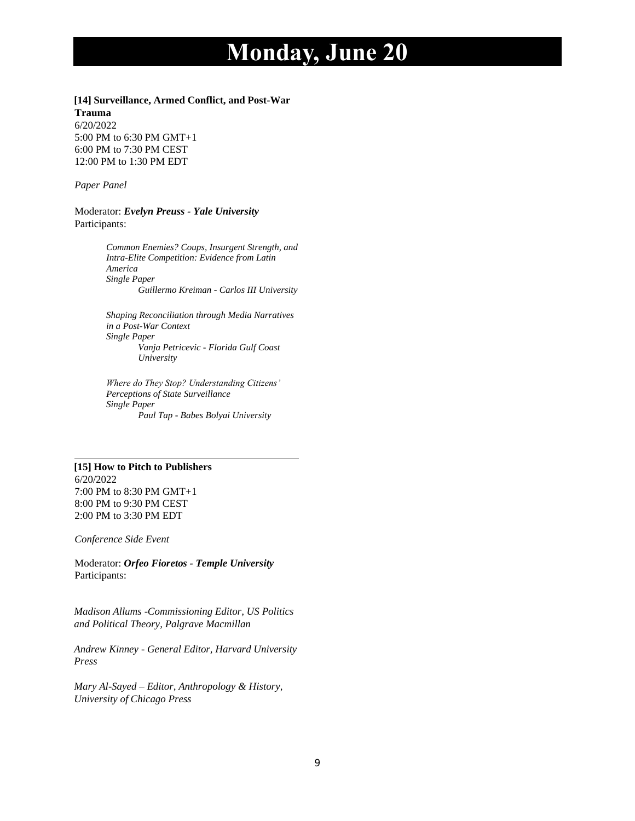**[14] Surveillance, Armed Conflict, and Post-War** 

**Trauma** 6/20/2022 5:00 PM to 6:30 PM GMT+1 6:00 PM to 7:30 PM CEST 12:00 PM to 1:30 PM EDT

*Paper Panel*

Moderator: *Evelyn Preuss - Yale University* Participants:

> *Common Enemies? Coups, Insurgent Strength, and Intra-Elite Competition: Evidence from Latin America Single Paper Guillermo Kreiman - Carlos III University*

*Shaping Reconciliation through Media Narratives in a Post-War Context Single Paper Vanja Petricevic - Florida Gulf Coast University*

*Where do They Stop? Understanding Citizens' Perceptions of State Surveillance Single Paper Paul Tap - Babes Bolyai University*

## **[15] How to Pitch to Publishers**

6/20/2022 7:00 PM to 8:30 PM GMT+1 8:00 PM to 9:30 PM CEST 2:00 PM to 3:30 PM EDT

*Conference Side Event*

Moderator: *Orfeo Fioretos - Temple University* Participants:

*Madison Allums -Commissioning Editor, US Politics and Political Theory, Palgrave Macmillan*

*Andrew Kinney - General Editor, Harvard University Press*

*Mary Al-Sayed – Editor, Anthropology & History, University of Chicago Press*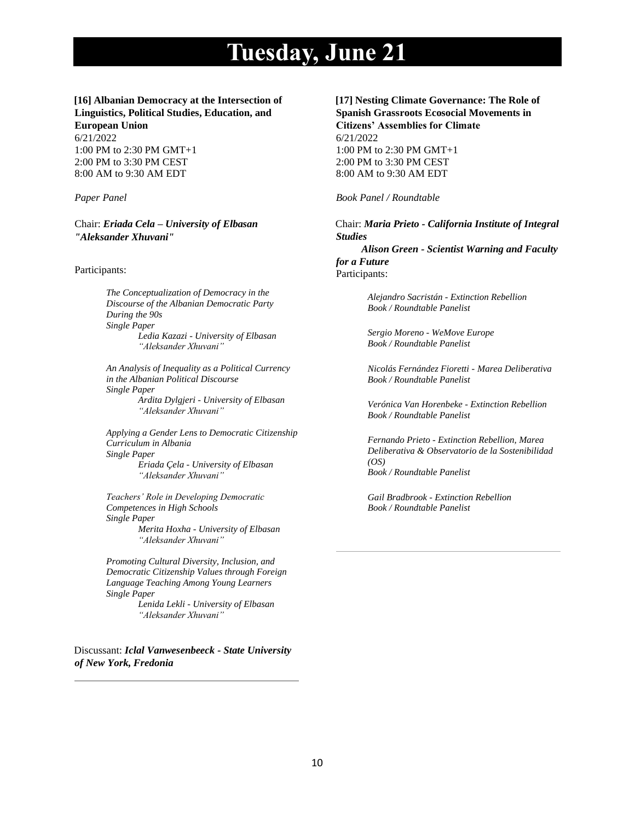#### **[16] Albanian Democracy at the Intersection of Linguistics, Political Studies, Education, and European Union**

6/21/2022 1:00 PM to 2:30 PM GMT+1 2:00 PM to 3:30 PM CEST 8:00 AM to 9:30 AM EDT

*Paper Panel*

Chair: *Eriada Cela – University of Elbasan "Aleksander Xhuvani"*

#### Participants:

*The Conceptualization of Democracy in the Discourse of the Albanian Democratic Party During the 90s Single Paper Ledia Kazazi - University of Elbasan "Aleksander Xhuvani"*

*An Analysis of Inequality as a Political Currency in the Albanian Political Discourse Single Paper Ardita Dylgjeri - University of Elbasan "Aleksander Xhuvani"*

*Applying a Gender Lens to Democratic Citizenship Curriculum in Albania Single Paper Eriada Çela - University of Elbasan "Aleksander Xhuvani"* 

*Teachers' Role in Developing Democratic Competences in High Schools Single Paper Merita Hoxha - University of Elbasan "Aleksander Xhuvani"*

*Promoting Cultural Diversity, Inclusion, and Democratic Citizenship Values through Foreign Language Teaching Among Young Learners Single Paper Lenida Lekli - University of Elbasan "Aleksander Xhuvani"*

Discussant: *Iclal Vanwesenbeeck - State University of New York, Fredonia*

**[17] Nesting Climate Governance: The Role of Spanish Grassroots Ecosocial Movements in Citizens' Assemblies for Climate** 6/21/2022 1:00 PM to 2:30 PM GMT+1 2:00 PM to 3:30 PM CEST 8:00 AM to 9:30 AM EDT

*Book Panel / Roundtable*

Chair: *Maria Prieto - California Institute of Integral Studies*

 *Alison Green - Scientist Warning and Faculty for a Future* Participants:

> *Alejandro Sacristán - Extinction Rebellion Book / Roundtable Panelist*

*Sergio Moreno - WeMove Europe Book / Roundtable Panelist*

*Nicolás Fernández Fioretti - Marea Deliberativa Book / Roundtable Panelist*

*Verónica Van Horenbeke - Extinction Rebellion Book / Roundtable Panelist*

*Fernando Prieto - Extinction Rebellion, Marea Deliberativa & Observatorio de la Sostenibilidad (OS) Book / Roundtable Panelist*

*Gail Bradbrook - Extinction Rebellion Book / Roundtable Panelist*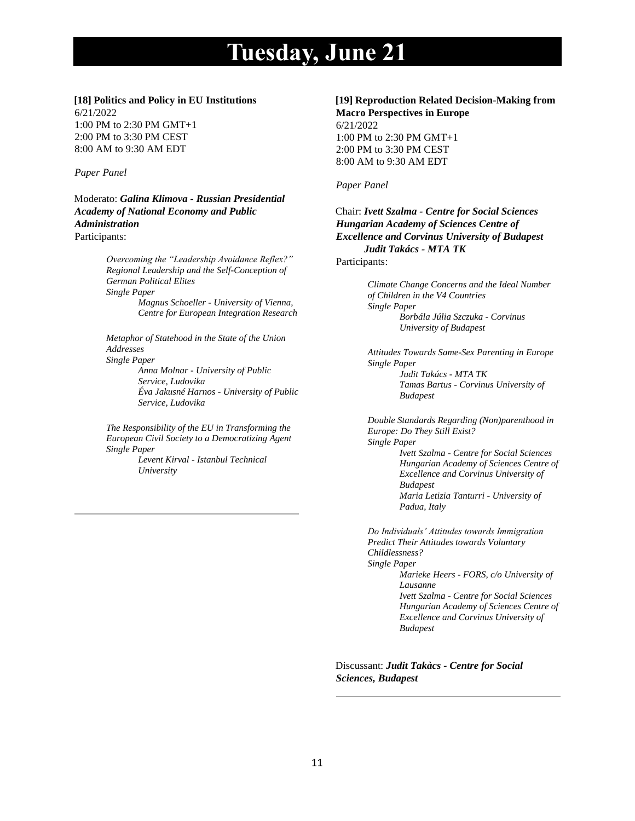## **[18] Politics and Policy in EU Institutions**

6/21/2022 1:00 PM to 2:30 PM GMT+1 2:00 PM to 3:30 PM CEST 8:00 AM to 9:30 AM EDT

## *Paper Panel*

Moderato: *Galina Klimova - Russian Presidential Academy of National Economy and Public Administration* Participants:

> *Overcoming the "Leadership Avoidance Reflex?" Regional Leadership and the Self-Conception of German Political Elites Single Paper Magnus Schoeller - University of Vienna, Centre for European Integration Research*

*Metaphor of Statehood in the State of the Union Addresses Single Paper*

*Anna Molnar - University of Public Service, Ludovika Éva Jakusné Harnos - University of Public Service, Ludovika*

*The Responsibility of the EU in Transforming the European Civil Society to a Democratizing Agent Single Paper Levent Kirval - Istanbul Technical* 

*University*

## **[19] Reproduction Related Decision-Making from Macro Perspectives in Europe**

6/21/2022 1:00 PM to 2:30 PM GMT+1 2:00 PM to 3:30 PM CEST 8:00 AM to 9:30 AM EDT

## *Paper Panel*

Chair: *Ivett Szalma - Centre for Social Sciences Hungarian Academy of Sciences Centre of Excellence and Corvinus University of Budapest Judit Takács - MTA TK*

Participants:

*Climate Change Concerns and the Ideal Number of Children in the V4 Countries Single Paper Borbála Júlia Szczuka - Corvinus University of Budapest*

*Attitudes Towards Same-Sex Parenting in Europe Single Paper Judit Takács - MTA TK Tamas Bartus - Corvinus University of Budapest*

*Double Standards Regarding (Non)parenthood in Europe: Do They Still Exist? Single Paper Ivett Szalma - Centre for Social Sciences Hungarian Academy of Sciences Centre of Excellence and Corvinus University of Budapest Maria Letizia Tanturri - University of Padua, Italy*

*Do Individuals' Attitudes towards Immigration Predict Their Attitudes towards Voluntary Childlessness? Single Paper Marieke Heers - FORS, c/o University of Lausanne Ivett Szalma - Centre for Social Sciences Hungarian Academy of Sciences Centre of Excellence and Corvinus University of Budapest*

Discussant: *Judit Takàcs - Centre for Social Sciences, Budapest*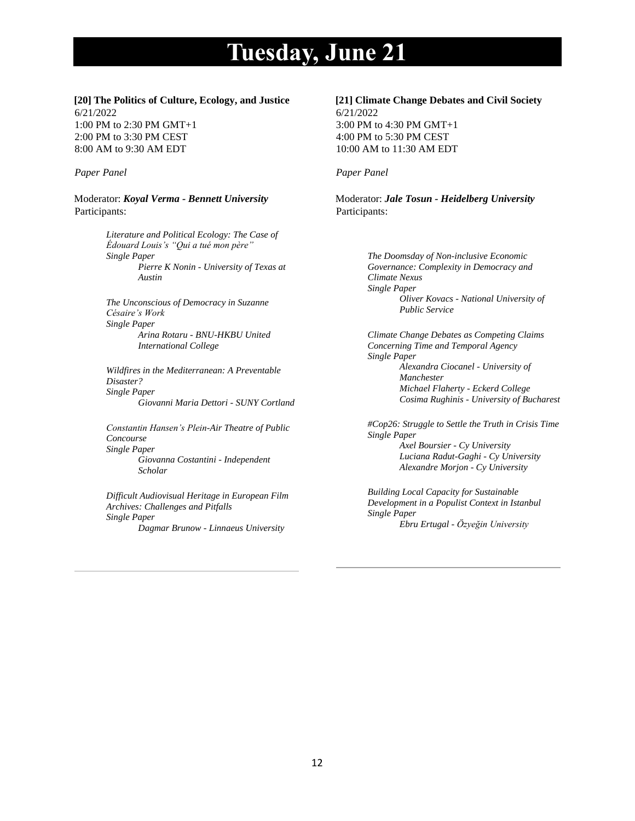#### **[20] The Politics of Culture, Ecology, and Justice** 6/21/2022 1:00 PM to 2:30 PM GMT+1 2:00 PM to 3:30 PM CEST 8:00 AM to 9:30 AM EDT

#### *Paper Panel*

Moderator: *Koyal Verma - Bennett University* Participants:

> *Literature and Political Ecology: The Case of Édouard Louis's "Qui a tué mon père" Single Paper Pierre K Nonin - University of Texas at Austin*

*The Unconscious of Democracy in Suzanne Césaire's Work Single Paper Arina Rotaru - BNU-HKBU United International College*

*Wildfires in the Mediterranean: A Preventable Disaster? Single Paper Giovanni Maria Dettori - SUNY Cortland*

*Constantin Hansen's Plein-Air Theatre of Public Concourse Single Paper Giovanna Costantini - Independent Scholar*

*Difficult Audiovisual Heritage in European Film Archives: Challenges and Pitfalls Single Paper Dagmar Brunow - Linnaeus University*

**[21] Climate Change Debates and Civil Society** 6/21/2022 3:00 PM to 4:30 PM GMT+1 4:00 PM to 5:30 PM CEST 10:00 AM to 11:30 AM EDT

#### *Paper Panel*

Moderator: *Jale Tosun - Heidelberg University* Participants:

> *The Doomsday of Non-inclusive Economic Governance: Complexity in Democracy and Climate Nexus Single Paper Oliver Kovacs - National University of Public Service*

*Climate Change Debates as Competing Claims Concerning Time and Temporal Agency Single Paper Alexandra Ciocanel - University of Manchester Michael Flaherty - Eckerd College Cosima Rughinis - University of Bucharest*

*#Cop26: Struggle to Settle the Truth in Crisis Time Single Paper Axel Boursier - Cy University Luciana Radut-Gaghi - Cy University Alexandre Morjon - Cy University*

*Building Local Capacity for Sustainable Development in a Populist Context in Istanbul Single Paper Ebru Ertugal - Özyeğin University*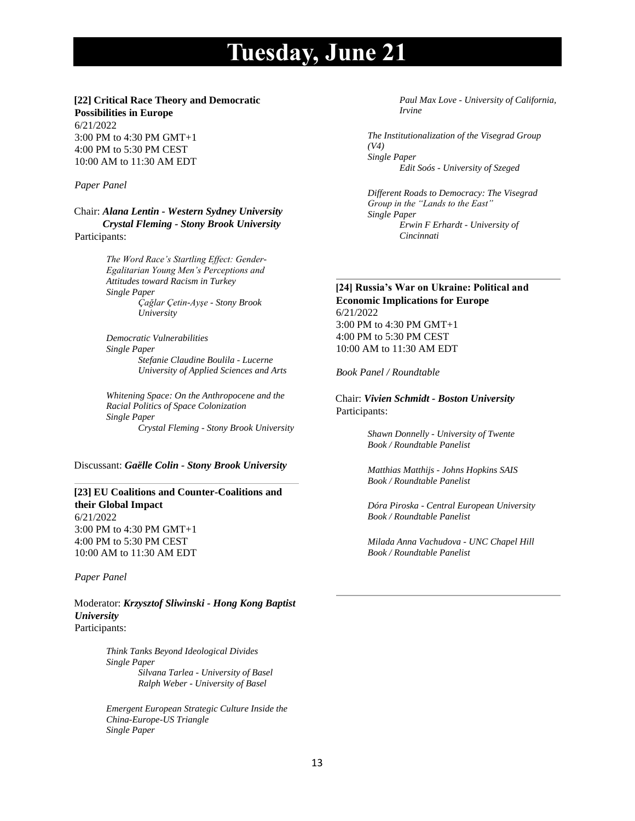# **[22] Critical Race Theory and Democratic**

**Possibilities in Europe** 6/21/2022 3:00 PM to 4:30 PM GMT+1 4:00 PM to 5:30 PM CEST 10:00 AM to 11:30 AM EDT

#### *Paper Panel*

Chair: *Alana Lentin - Western Sydney University Crystal Fleming - Stony Brook University* Participants:

> *The Word Race's Startling Effect: Gender-Egalitarian Young Men's Perceptions and Attitudes toward Racism in Turkey Single Paper Çağlar Çetin-Ayşe - Stony Brook University*

*Democratic Vulnerabilities Single Paper Stefanie Claudine Boulila - Lucerne University of Applied Sciences and Arts*

*Whitening Space: On the Anthropocene and the Racial Politics of Space Colonization Single Paper Crystal Fleming - Stony Brook University*

Discussant: *Gaëlle Colin - Stony Brook University*

## **[23] EU Coalitions and Counter-Coalitions and their Global Impact** 6/21/2022 3:00 PM to 4:30 PM GMT+1 4:00 PM to 5:30 PM CEST

10:00 AM to 11:30 AM EDT

#### *Paper Panel*

Moderator: *Krzysztof Sliwinski - Hong Kong Baptist University* Participants:

> *Think Tanks Beyond Ideological Divides Single Paper Silvana Tarlea - University of Basel Ralph Weber - University of Basel*

*Emergent European Strategic Culture Inside the China-Europe-US Triangle Single Paper*

*Paul Max Love - University of California, Irvine*

*The Institutionalization of the Visegrad Group (V4) Single Paper Edit Soós - University of Szeged*

*Different Roads to Democracy: The Visegrad Group in the "Lands to the East" Single Paper Erwin F Erhardt - University of Cincinnati*

## **[24] Russia's War on Ukraine: Political and Economic Implications for Europe** 6/21/2022 3:00 PM to 4:30 PM GMT+1 4:00 PM to 5:30 PM CEST 10:00 AM to 11:30 AM EDT

*Book Panel / Roundtable*

Chair: *Vivien Schmidt - Boston University* Participants:

> *Shawn Donnelly - University of Twente Book / Roundtable Panelist*

*Matthias Matthijs - Johns Hopkins SAIS Book / Roundtable Panelist*

*Dóra Piroska - Central European University Book / Roundtable Panelist*

*Milada Anna Vachudova - UNC Chapel Hill Book / Roundtable Panelist*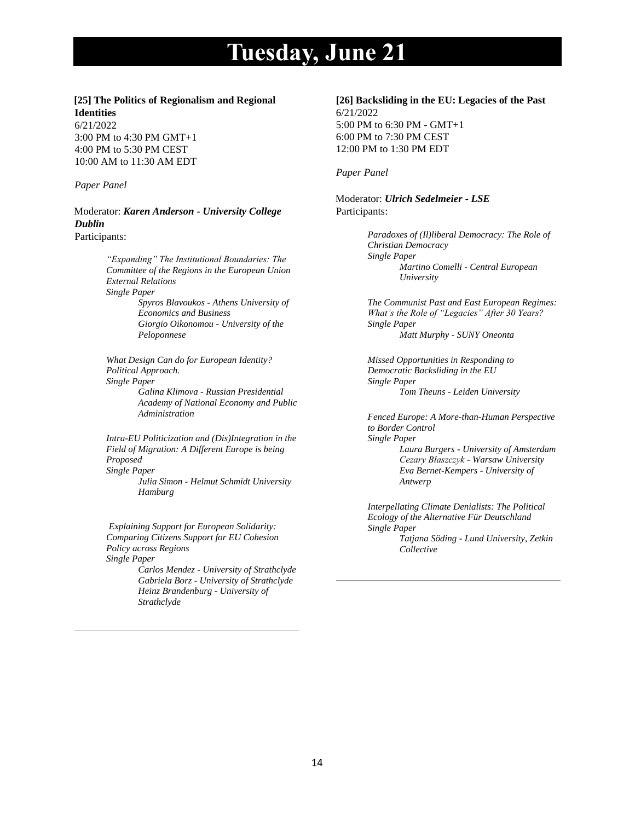#### **[25] The Politics of Regionalism and Regional Identities**

6/21/2022 3:00 PM to 4:30 PM GMT+1 4:00 PM to 5:30 PM CEST 10:00 AM to 11:30 AM EDT

#### *Paper Panel*

Moderator: *Karen Anderson - University College Dublin*  Participants:

> *"Expanding" The Institutional Boundaries: The Committee of the Regions in the European Union External Relations Single Paper Spyros Blavoukos - Athens University of Economics and Business*

*Giorgio Oikonomou - University of the Peloponnese*

*What Design Can do for European Identity? Political Approach. Single Paper Galina Klimova - Russian Presidential* 

*Academy of National Economy and Public Administration*

*Intra-EU Politicization and (Dis)Integration in the Field of Migration: A Different Europe is being Proposed Single Paper Julia Simon - Helmut Schmidt University Hamburg*

*Explaining Support for European Solidarity: Comparing Citizens Support for EU Cohesion Policy across Regions Single Paper*

*Carlos Mendez - University of Strathclyde Gabriela Borz - University of Strathclyde Heinz Brandenburg - University of Strathclyde*

## **[26] Backsliding in the EU: Legacies of the Past** 6/21/2022 5:00 PM to 6:30 PM - GMT+1 6:00 PM to 7:30 PM CEST 12:00 PM to 1:30 PM EDT

*Paper Panel*

Moderator: *Ulrich Sedelmeier - LSE* Participants:

> *Paradoxes of (Il)liberal Democracy: The Role of Christian Democracy Single Paper Martino Comelli - Central European University*

*The Communist Past and East European Regimes: What's the Role of "Legacies" After 30 Years? Single Paper Matt Murphy - SUNY Oneonta*

*Missed Opportunities in Responding to Democratic Backsliding in the EU Single Paper Tom Theuns - Leiden University*

*Fenced Europe: A More-than-Human Perspective to Border Control Single Paper Laura Burgers - University of Amsterdam Cezary Błaszczyk - Warsaw University Eva Bernet-Kempers - University of Antwerp*

*Interpellating Climate Denialists: The Political Ecology of the Alternative Für Deutschland Single Paper Tatjana Söding - Lund University, Zetkin Collective*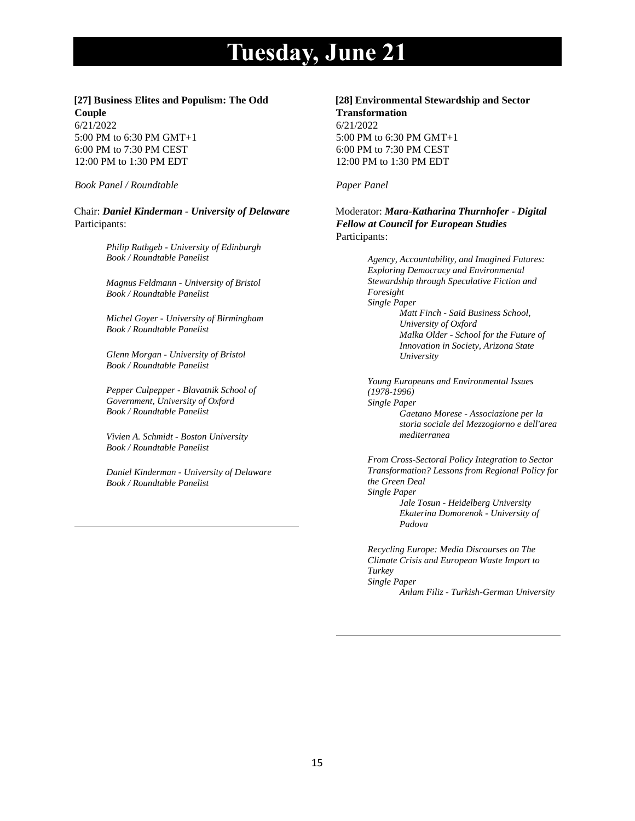## **[27] Business Elites and Populism: The Odd Couple**

6/21/2022 5:00 PM to 6:30 PM GMT+1 6:00 PM to 7:30 PM CEST 12:00 PM to 1:30 PM EDT

*Book Panel / Roundtable*

Chair: *Daniel Kinderman - University of Delaware* Participants:

> *Philip Rathgeb - University of Edinburgh Book / Roundtable Panelist*

> *Magnus Feldmann - University of Bristol Book / Roundtable Panelist*

*Michel Goyer - University of Birmingham Book / Roundtable Panelist*

*Glenn Morgan - University of Bristol Book / Roundtable Panelist*

*Pepper Culpepper - Blavatnik School of Government, University of Oxford Book / Roundtable Panelist*

*Vivien A. Schmidt - Boston University Book / Roundtable Panelist*

*Daniel Kinderman - University of Delaware Book / Roundtable Panelist*

## **[28] Environmental Stewardship and Sector Transformation**

6/21/2022 5:00 PM to 6:30 PM GMT+1 6:00 PM to 7:30 PM CEST 12:00 PM to 1:30 PM EDT

### *Paper Panel*

Moderator: *Mara-Katharina Thurnhofer - Digital Fellow at Council for European Studies* Participants:

> *Agency, Accountability, and Imagined Futures: Exploring Democracy and Environmental Stewardship through Speculative Fiction and Foresight Single Paper Matt Finch - Saïd Business School, University of Oxford Malka Older - School for the Future of Innovation in Society, Arizona State University*

*Young Europeans and Environmental Issues (1978-1996) Single Paper Gaetano Morese - Associazione per la storia sociale del Mezzogiorno e dell'area mediterranea*

*From Cross-Sectoral Policy Integration to Sector Transformation? Lessons from Regional Policy for the Green Deal Single Paper Jale Tosun - Heidelberg University Ekaterina Domorenok - University of* 

*Recycling Europe: Media Discourses on The Climate Crisis and European Waste Import to Turkey Single Paper Anlam Filiz - Turkish-German University*

*Padova*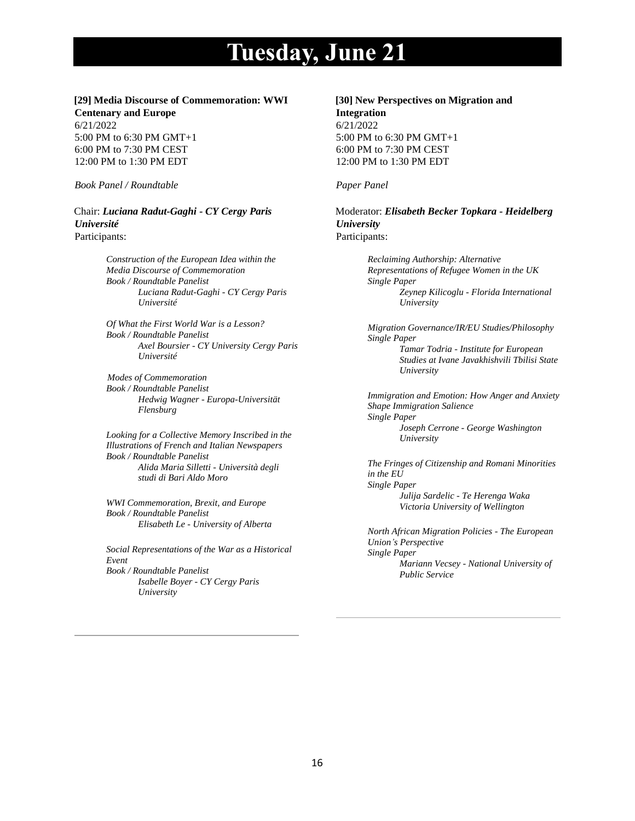# **[29] Media Discourse of Commemoration: WWI**

**Centenary and Europe** 6/21/2022 5:00 PM to 6:30 PM GMT+1 6:00 PM to 7:30 PM CEST 12:00 PM to 1:30 PM EDT

*Book Panel / Roundtable*

Chair: *Luciana Radut-Gaghi - CY Cergy Paris Université* Participants:

> *Construction of the European Idea within the Media Discourse of Commemoration Book / Roundtable Panelist Luciana Radut-Gaghi - CY Cergy Paris Université*

*Of What the First World War is a Lesson? Book / Roundtable Panelist Axel Boursier - CY University Cergy Paris Université*

 *Modes of Commemoration Book / Roundtable Panelist Hedwig Wagner - Europa-Universität Flensburg*

*Looking for a Collective Memory Inscribed in the Illustrations of French and Italian Newspapers Book / Roundtable Panelist Alida Maria Silletti - Università degli studi di Bari Aldo Moro*

*WWI Commemoration, Brexit, and Europe Book / Roundtable Panelist Elisabeth Le - University of Alberta*

*Social Representations of the War as a Historical Event Book / Roundtable Panelist Isabelle Boyer - CY Cergy Paris University*

# **[30] New Perspectives on Migration and**

**Integration** 6/21/2022 5:00 PM to 6:30 PM GMT+1 6:00 PM to 7:30 PM CEST 12:00 PM to 1:30 PM EDT

## *Paper Panel*

Moderator: *Elisabeth Becker Topkara - Heidelberg University* Participants:

> *Reclaiming Authorship: Alternative Representations of Refugee Women in the UK Single Paper Zeynep Kilicoglu - Florida International University*

*Migration Governance/IR/EU Studies/Philosophy Single Paper Tamar Todria - Institute for European Studies at Ivane Javakhishvili Tbilisi State University*

*Immigration and Emotion: How Anger and Anxiety Shape Immigration Salience Single Paper Joseph Cerrone - George Washington University*

*The Fringes of Citizenship and Romani Minorities in the EU Single Paper Julija Sardelic - Te Herenga Waka Victoria University of Wellington*

*North African Migration Policies - The European Union's Perspective Single Paper Mariann Vecsey - National University of Public Service*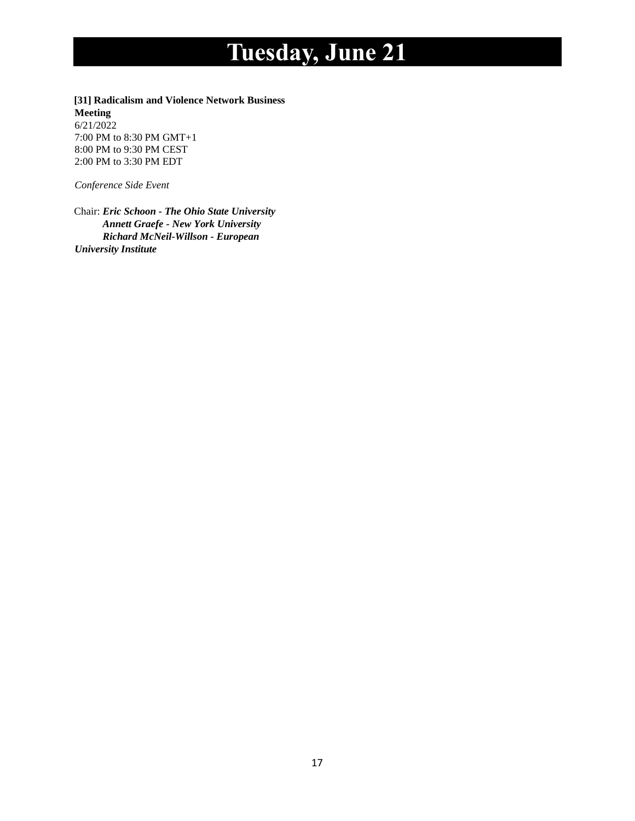**[31] Radicalism and Violence Network Business Meeting** 6/21/2022 7:00 PM to 8:30 PM GMT+1 8:00 PM to 9:30 PM CEST 2:00 PM to 3:30 PM EDT

*Conference Side Event*

Chair: *Eric Schoon - The Ohio State University Annett Graefe - New York University Richard McNeil-Willson - European University Institute*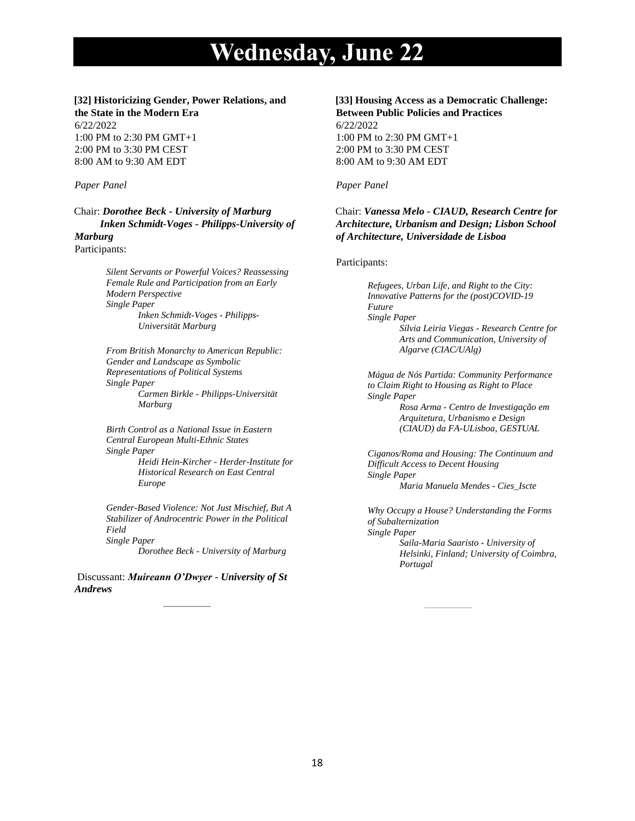## **[32] Historicizing Gender, Power Relations, and the State in the Modern Era**

6/22/2022 1:00 PM to 2:30 PM GMT+1 2:00 PM to 3:30 PM CEST 8:00 AM to 9:30 AM EDT

#### *Paper Panel*

Chair: *Dorothee Beck - University of Marburg Inken Schmidt-Voges - Philipps-University of Marburg*

Participants:

*Silent Servants or Powerful Voices? Reassessing Female Rule and Participation from an Early Modern Perspective Single Paper Inken Schmidt-Voges - Philipps-Universität Marburg*

*From British Monarchy to American Republic: Gender and Landscape as Symbolic Representations of Political Systems Single Paper Carmen Birkle - Philipps-Universität Marburg*

*Birth Control as a National Issue in Eastern Central European Multi-Ethnic States Single Paper Heidi Hein-Kircher - Herder-Institute for Historical Research on East Central* 

*Europe*

*Gender-Based Violence: Not Just Mischief, But A Stabilizer of Androcentric Power in the Political Field Single Paper*

*Dorothee Beck - University of Marburg*

Discussant: *Muireann O'Dwyer* - *University of St Andrews*

# **[33] Housing Access as a Democratic Challenge: Between Public Policies and Practices**

6/22/2022 1:00 PM to 2:30 PM GMT+1 2:00 PM to 3:30 PM CEST 8:00 AM to 9:30 AM EDT

#### *Paper Panel*

## Chair: *Vanessa Melo - CIAUD, Research Centre for Architecture, Urbanism and Design; Lisbon School of Architecture, Universidade de Lisboa*

#### Participants:

*Refugees, Urban Life, and Right to the City: Innovative Patterns for the (post)COVID-19 Future Single Paper Sílvia Leiria Viegas - Research Centre for Arts and Communication, University of Algarve (CIAC/UAlg)*

*Mágua de Nós Partida: Community Performance to Claim Right to Housing as Right to Place Single Paper Rosa Arma - Centro de Investigação em Arquitetura, Urbanismo e Design (CIAUD) da FA-ULisboa, GESTUAL*

*Ciganos/Roma and Housing: The Continuum and Difficult Access to Decent Housing Single Paper Maria Manuela Mendes - Cies\_Iscte*

*Why Occupy a House? Understanding the Forms of Subalternization Single Paper Saila-Maria Saaristo - University of Helsinki, Finland; University of Coimbra, Portugal*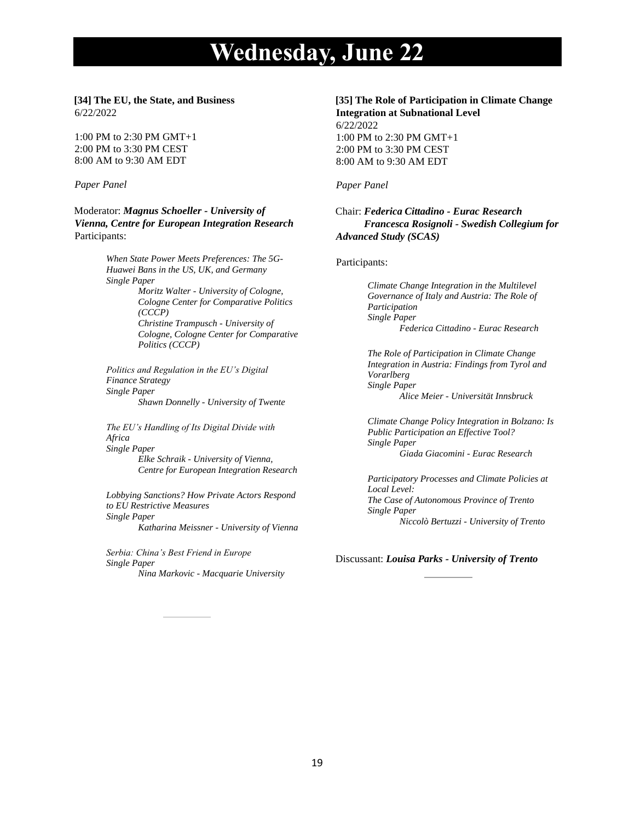#### **[34] The EU, the State, and Business** 6/22/2022

1:00 PM to 2:30 PM GMT+1 2:00 PM to 3:30 PM CEST 8:00 AM to 9:30 AM EDT

#### *Paper Panel*

Moderator: *Magnus Schoeller - University of Vienna, Centre for European Integration Research* Participants:

> *When State Power Meets Preferences: The 5G-Huawei Bans in the US, UK, and Germany Single Paper Moritz Walter - University of Cologne, Cologne Center for Comparative Politics (CCCP) Christine Trampusch - University of Cologne, Cologne Center for Comparative Politics (CCCP)*

*Politics and Regulation in the EU's Digital Finance Strategy Single Paper Shawn Donnelly - University of Twente*

*The EU's Handling of Its Digital Divide with Africa Single Paper Elke Schraik - University of Vienna, Centre for European Integration Research*

*Lobbying Sanctions? How Private Actors Respond to EU Restrictive Measures Single Paper Katharina Meissner - University of Vienna*

*Serbia: China's Best Friend in Europe Single Paper Nina Markovic - Macquarie University*

### **[35] The Role of Participation in Climate Change Integration at Subnational Level**

6/22/2022 1:00 PM to 2:30 PM GMT+1 2:00 PM to 3:30 PM CEST 8:00 AM to 9:30 AM EDT

#### *Paper Panel*

## Chair: *Federica Cittadino - Eurac Research Francesca Rosignoli - Swedish Collegium for Advanced Study (SCAS)*

#### Participants:

*Climate Change Integration in the Multilevel Governance of Italy and Austria: The Role of Participation Single Paper Federica Cittadino - Eurac Research*

*The Role of Participation in Climate Change Integration in Austria: Findings from Tyrol and Vorarlberg Single Paper Alice Meier - Universität Innsbruck*

*Climate Change Policy Integration in Bolzano: Is Public Participation an Effective Tool? Single Paper Giada Giacomini - Eurac Research*

*Participatory Processes and Climate Policies at Local Level: The Case of Autonomous Province of Trento Single Paper Niccolò Bertuzzi - University of Trento*

Discussant: *Louisa Parks - University of Trento*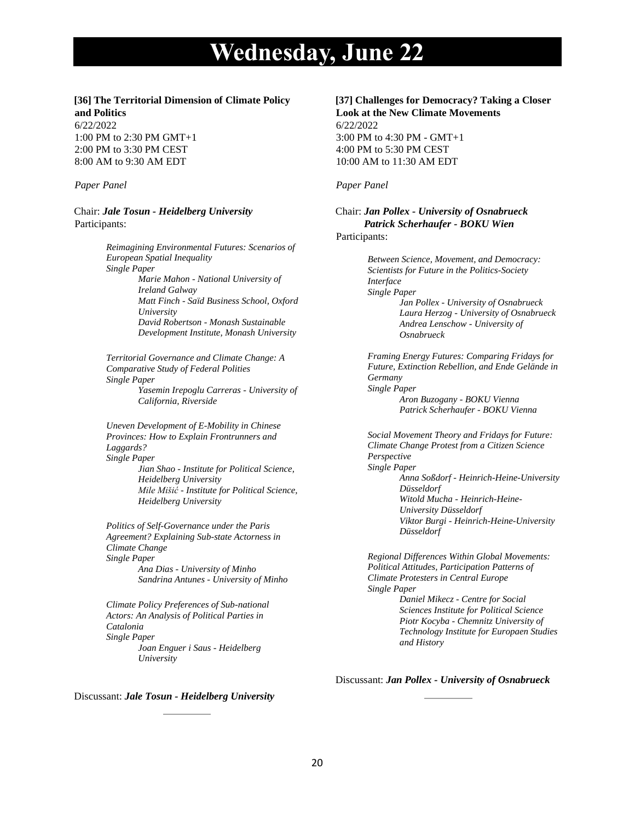#### **[36] The Territorial Dimension of Climate Policy and Politics**

6/22/2022 1:00 PM to 2:30 PM GMT+1 2:00 PM to 3:30 PM CEST 8:00 AM to 9:30 AM EDT

#### *Paper Panel*

Chair: *Jale Tosun - Heidelberg University* Participants:

> *Reimagining Environmental Futures: Scenarios of European Spatial Inequality Single Paper Marie Mahon - National University of Ireland Galway Matt Finch - Saïd Business School, Oxford University David Robertson - Monash Sustainable Development Institute, Monash University*

> *Territorial Governance and Climate Change: A Comparative Study of Federal Polities Single Paper Yasemin Irepoglu Carreras - University of California, Riverside*

> *Uneven Development of E-Mobility in Chinese Provinces: How to Explain Frontrunners and Laggards? Single Paper Jian Shao - Institute for Political Science, Heidelberg University Mile Mišić - Institute for Political Science, Heidelberg University*

*Politics of Self-Governance under the Paris Agreement? Explaining Sub-state Actorness in Climate Change Single Paper Ana Dias - University of Minho*

*Sandrina Antunes - University of Minho*

*Climate Policy Preferences of Sub-national Actors: An Analysis of Political Parties in Catalonia Single Paper Joan Enguer i Saus - Heidelberg University*

#### Discussant: *Jale Tosun - Heidelberg University*

#### **[37] Challenges for Democracy? Taking a Closer Look at the New Climate Movements**

6/22/2022 3:00 PM to 4:30 PM - GMT+1 4:00 PM to 5:30 PM CEST 10:00 AM to 11:30 AM EDT

#### *Paper Panel*

Chair: *Jan Pollex - University of Osnabrueck Patrick Scherhaufer - BOKU Wien* Participants:

> *Between Science, Movement, and Democracy: Scientists for Future in the Politics-Society Interface Single Paper Jan Pollex - University of Osnabrueck Laura Herzog - University of Osnabrueck Andrea Lenschow - University of Osnabrueck*

> *Framing Energy Futures: Comparing Fridays for Future, Extinction Rebellion, and Ende Gelände in Germany Single Paper Aron Buzogany - BOKU Vienna Patrick Scherhaufer - BOKU Vienna*

*Social Movement Theory and Fridays for Future: Climate Change Protest from a Citizen Science Perspective Single Paper Anna Soßdorf - Heinrich-Heine-University Düsseldorf Witold Mucha - Heinrich-Heine-University Düsseldorf Viktor Burgi - Heinrich-Heine-University Düsseldorf*

*Regional Differences Within Global Movements: Political Attitudes, Participation Patterns of Climate Protesters in Central Europe Single Paper Daniel Mikecz - Centre for Social Sciences Institute for Political Science Piotr Kocyba - Chemnitz University of Technology Institute for Europaen Studies* 

Discussant: *Jan Pollex - University of Osnabrueck*

*and History*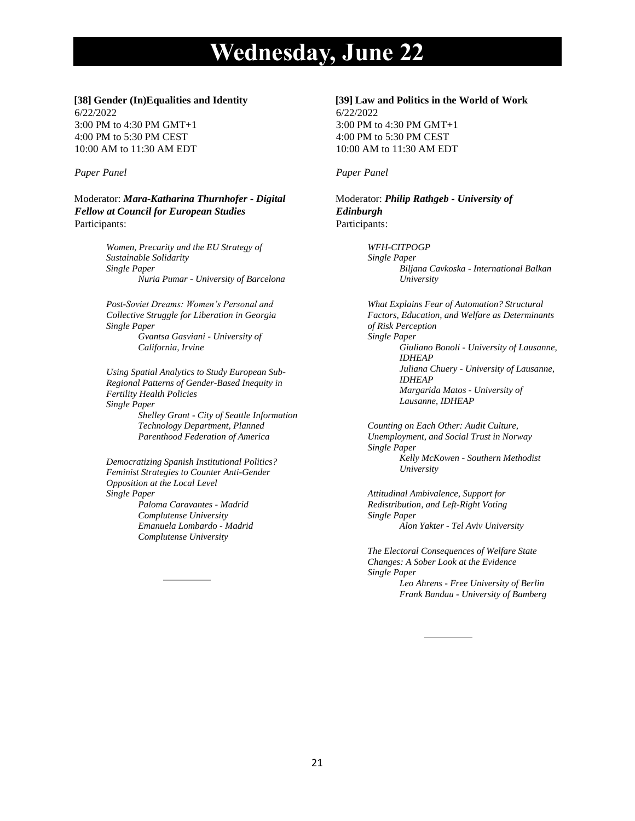#### **[38] Gender (In)Equalities and Identity**

6/22/2022 3:00 PM to 4:30 PM GMT+1 4:00 PM to 5:30 PM CEST 10:00 AM to 11:30 AM EDT

## *Paper Panel*

Moderator: *Mara-Katharina Thurnhofer - Digital Fellow at Council for European Studies* Participants:

> *Women, Precarity and the EU Strategy of Sustainable Solidarity Single Paper Nuria Pumar - University of Barcelona*

*Post-Soviet Dreams: Women's Personal and Collective Struggle for Liberation in Georgia Single Paper*

*Gvantsa Gasviani - University of California, Irvine*

*Using Spatial Analytics to Study European Sub-Regional Patterns of Gender-Based Inequity in Fertility Health Policies Single Paper*

*Shelley Grant - City of Seattle Information Technology Department, Planned Parenthood Federation of America*

*Democratizing Spanish Institutional Politics? Feminist Strategies to Counter Anti-Gender Opposition at the Local Level Single Paper Paloma Caravantes - Madrid* 

*Complutense University Emanuela Lombardo - Madrid Complutense University*

#### **[39] Law and Politics in the World of Work** 6/22/2022 3:00 PM to 4:30 PM GMT+1 4:00 PM to 5:30 PM CEST

10:00 AM to 11:30 AM EDT

## *Paper Panel*

Moderator: *Philip Rathgeb - University of Edinburgh* Participants:

> *WFH-CITPOGP Single Paper Biljana Cavkoska - International Balkan University*

*What Explains Fear of Automation? Structural Factors, Education, and Welfare as Determinants of Risk Perception Single Paper Giuliano Bonoli - University of Lausanne, IDHEAP Juliana Chuery - University of Lausanne, IDHEAP Margarida Matos - University of Lausanne, IDHEAP*

*Counting on Each Other: Audit Culture, Unemployment, and Social Trust in Norway Single Paper Kelly McKowen - Southern Methodist University*

*Attitudinal Ambivalence, Support for Redistribution, and Left-Right Voting Single Paper Alon Yakter - Tel Aviv University*

*The Electoral Consequences of Welfare State Changes: A Sober Look at the Evidence Single Paper Leo Ahrens - Free University of Berlin Frank Bandau - University of Bamberg*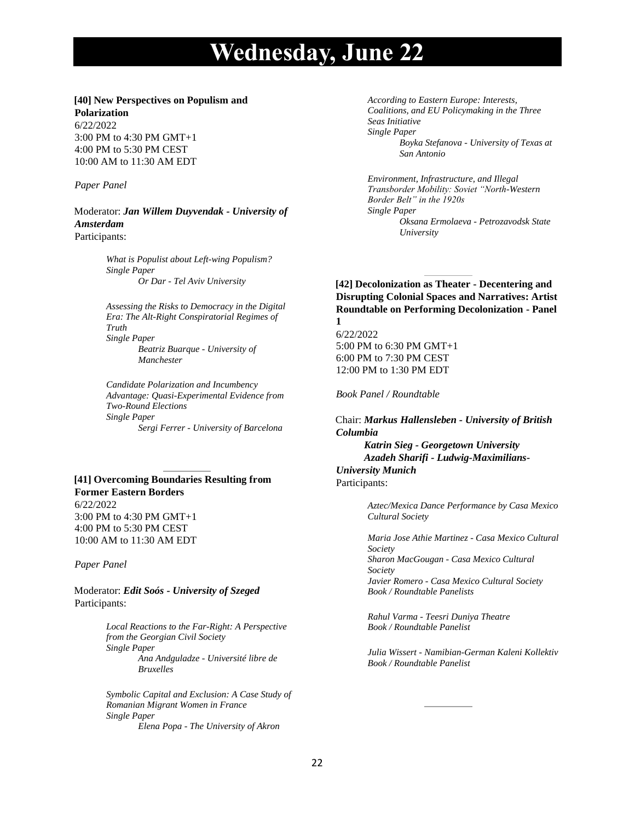#### **[40] New Perspectives on Populism and**

**Polarization** 6/22/2022 3:00 PM to 4:30 PM GMT+1 4:00 PM to 5:30 PM CEST 10:00 AM to 11:30 AM EDT

#### *Paper Panel*

Moderator: *Jan Willem Duyvendak - University of Amsterdam* Participants:

> *What is Populist about Left-wing Populism? Single Paper Or Dar - Tel Aviv University*

*Assessing the Risks to Democracy in the Digital Era: The Alt-Right Conspiratorial Regimes of Truth Single Paper Beatriz Buarque - University of Manchester*

*Candidate Polarization and Incumbency Advantage: Quasi-Experimental Evidence from Two-Round Elections Single Paper Sergi Ferrer - University of Barcelona*

# **[41] Overcoming Boundaries Resulting from Former Eastern Borders** 6/22/2022

3:00 PM to 4:30 PM GMT+1 4:00 PM to 5:30 PM CEST 10:00 AM to 11:30 AM EDT

*Paper Panel*

Moderator: *Edit Soós - University of Szeged* Participants:

> *Local Reactions to the Far-Right: A Perspective from the Georgian Civil Society Single Paper Ana Andguladze - Université libre de Bruxelles*

*Symbolic Capital and Exclusion: A Case Study of Romanian Migrant Women in France Single Paper Elena Popa - The University of Akron*

*According to Eastern Europe: Interests, Coalitions, and EU Policymaking in the Three Seas Initiative Single Paper Boyka Stefanova - University of Texas at San Antonio*

*Environment, Infrastructure, and Illegal Transborder Mobility: Soviet "North-Western Border Belt" in the 1920s Single Paper Oksana Ermolaeva - Petrozavodsk State University*

**[42] Decolonization as Theater - Decentering and Disrupting Colonial Spaces and Narratives: Artist Roundtable on Performing Decolonization - Panel 1**

6/22/2022 5:00 PM to 6:30 PM GMT+1 6:00 PM to 7:30 PM CEST 12:00 PM to 1:30 PM EDT

*Book Panel / Roundtable*

Chair: *Markus Hallensleben - University of British Columbia Katrin Sieg - Georgetown University Azadeh Sharifi - Ludwig-Maximilians-University Munich* Participants:

> *Aztec/Mexica Dance Performance by Casa Mexico Cultural Society*

> *Maria Jose Athie Martinez - Casa Mexico Cultural Society Sharon MacGougan - Casa Mexico Cultural Society Javier Romero - Casa Mexico Cultural Society Book / Roundtable Panelists*

*Rahul Varma - Teesri Duniya Theatre Book / Roundtable Panelist*

*Julia Wissert - Namibian-German Kaleni Kollektiv Book / Roundtable Panelist*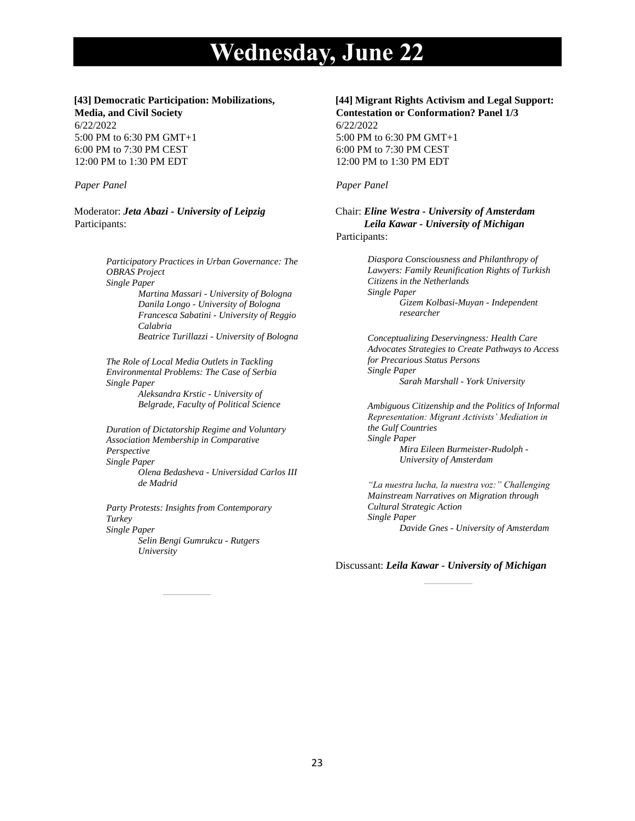# **[43] Democratic Participation: Mobilizations,**

**Media, and Civil Society** 6/22/2022 5:00 PM to 6:30 PM GMT+1 6:00 PM to 7:30 PM CEST 12:00 PM to 1:30 PM EDT

#### *Paper Panel*

Moderator: *Jeta Abazi - University of Leipzig* Participants:

> *Participatory Practices in Urban Governance: The OBRAS Project Single Paper Martina Massari - University of Bologna Danila Longo - University of Bologna Francesca Sabatini - University of Reggio Calabria Beatrice Turillazzi - University of Bologna*

*The Role of Local Media Outlets in Tackling Environmental Problems: The Case of Serbia Single Paper Aleksandra Krstic - University of Belgrade, Faculty of Political Science*

*Duration of Dictatorship Regime and Voluntary Association Membership in Comparative Perspective Single Paper Olena Bedasheva - Universidad Carlos III de Madrid*

*Party Protests: Insights from Contemporary Turkey Single Paper Selin Bengi Gumrukcu - Rutgers University*

# **[44] Migrant Rights Activism and Legal Support:**

**Contestation or Conformation? Panel 1/3** 6/22/2022 5:00 PM to 6:30 PM GMT+1 6:00 PM to 7:30 PM CEST 12:00 PM to 1:30 PM EDT

## *Paper Panel*

Chair: *Eline Westra - University of Amsterdam Leila Kawar - University of Michigan* Participants:

> *Diaspora Consciousness and Philanthropy of Lawyers: Family Reunification Rights of Turkish Citizens in the Netherlands Single Paper Gizem Kolbasi-Muyan - Independent researcher*

*Conceptualizing Deservingness: Health Care Advocates Strategies to Create Pathways to Access for Precarious Status Persons Single Paper Sarah Marshall - York University*

*Ambiguous Citizenship and the Politics of Informal Representation: Migrant Activists' Mediation in the Gulf Countries Single Paper Mira Eileen Burmeister-Rudolph - University of Amsterdam*

*"La nuestra lucha, la nuestra voz:" Challenging Mainstream Narratives on Migration through Cultural Strategic Action Single Paper Davide Gnes - University of Amsterdam*

Discussant: *Leila Kawar - University of Michigan*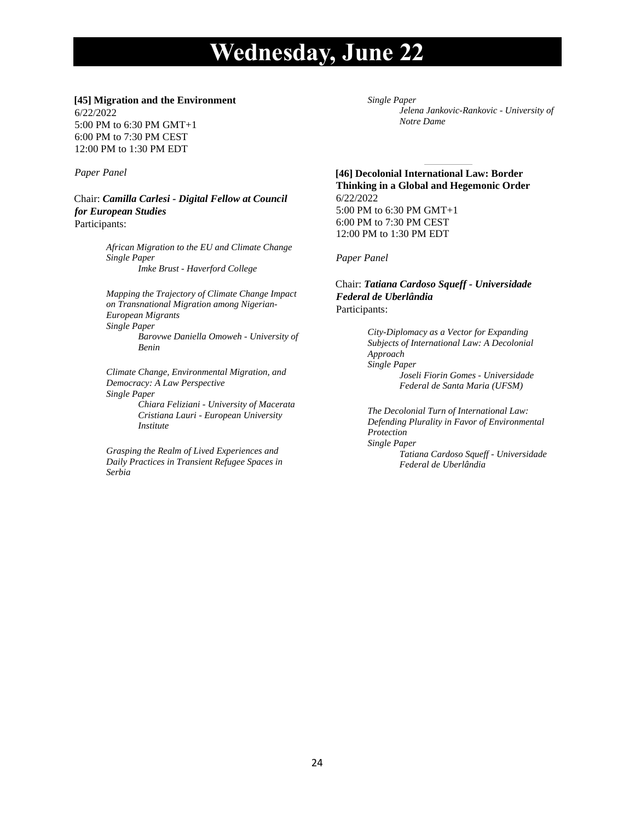#### **[45] Migration and the Environment**

6/22/2022 5:00 PM to 6:30 PM GMT+1 6:00 PM to 7:30 PM CEST 12:00 PM to 1:30 PM EDT

## *Paper Panel*

Chair: *Camilla Carlesi - Digital Fellow at Council for European Studies* Participants:

> *African Migration to the EU and Climate Change Single Paper Imke Brust - Haverford College*

*Mapping the Trajectory of Climate Change Impact on Transnational Migration among Nigerian-European Migrants Single Paper Barovwe Daniella Omoweh - University of Benin*

*Climate Change, Environmental Migration, and Democracy: A Law Perspective Single Paper Chiara Feliziani - University of Macerata*

*Cristiana Lauri - European University Institute*

*Grasping the Realm of Lived Experiences and Daily Practices in Transient Refugee Spaces in Serbia*

*Single Paper Jelena Jankovic-Rankovic - University of Notre Dame*

**[46] Decolonial International Law: Border Thinking in a Global and Hegemonic Order** 6/22/2022 5:00 PM to 6:30 PM GMT+1 6:00 PM to 7:30 PM CEST 12:00 PM to 1:30 PM EDT

*Paper Panel*

Chair: *Tatiana Cardoso Squeff - Universidade Federal de Uberlândia* Participants:

> *City-Diplomacy as a Vector for Expanding Subjects of International Law: A Decolonial Approach Single Paper Joseli Fiorin Gomes - Universidade Federal de Santa Maria (UFSM)*

*The Decolonial Turn of International Law: Defending Plurality in Favor of Environmental Protection Single Paper Tatiana Cardoso Squeff - Universidade Federal de Uberlândia*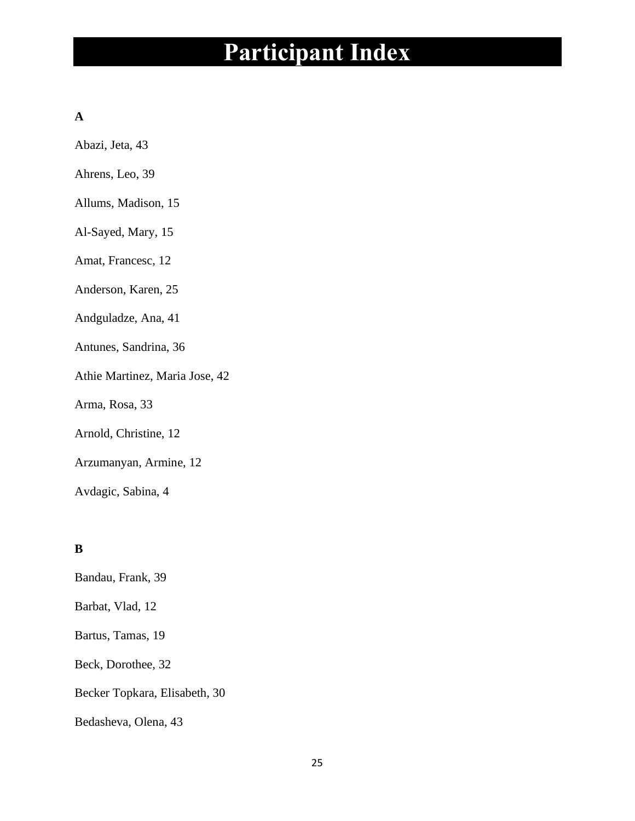# **A**

Abazi, Jeta, 43

- Ahrens, Leo, 39
- Allums, Madison, 15
- Al-Sayed, Mary, 15
- Amat, Francesc, 12
- Anderson, Karen, 25
- Andguladze, Ana, 41
- Antunes, Sandrina, 36
- Athie Martinez, Maria Jose, 42
- Arma, Rosa, 33
- Arnold, Christine, 12
- Arzumanyan, Armine, 12
- Avdagic, Sabina, 4

# **B**

Bandau, Frank, 39 Barbat, Vlad, 12 Bartus, Tamas, 19 Beck, Dorothee, 32 Becker Topkara, Elisabeth, 30 Bedasheva, Olena, 43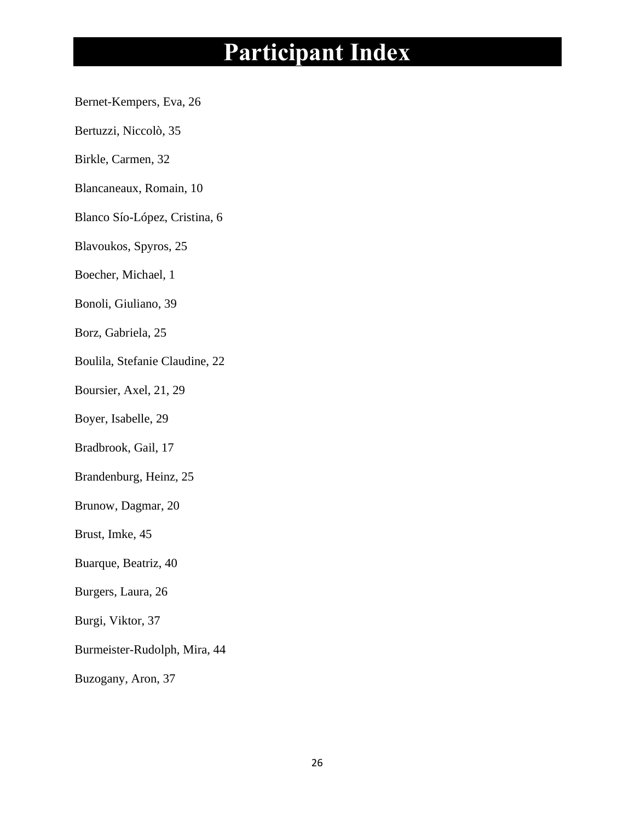- Bernet-Kempers, Eva, 26
- Bertuzzi, Niccolò, 35
- Birkle, Carmen, 32
- Blancaneaux, Romain, 10
- Blanco Sío-López, Cristina, 6
- Blavoukos, Spyros, 25
- Boecher, Michael, 1
- Bonoli, Giuliano, 39
- Borz, Gabriela, 25
- Boulila, Stefanie Claudine, 22
- Boursier, Axel, 21, 29
- Boyer, Isabelle, 29
- Bradbrook, Gail, 17
- Brandenburg, Heinz, 25
- Brunow, Dagmar, 20
- Brust, Imke, 45
- Buarque, Beatriz, 40
- Burgers, Laura, 26
- Burgi, Viktor, 37
- Burmeister-Rudolph, Mira, 44
- Buzogany, Aron, 37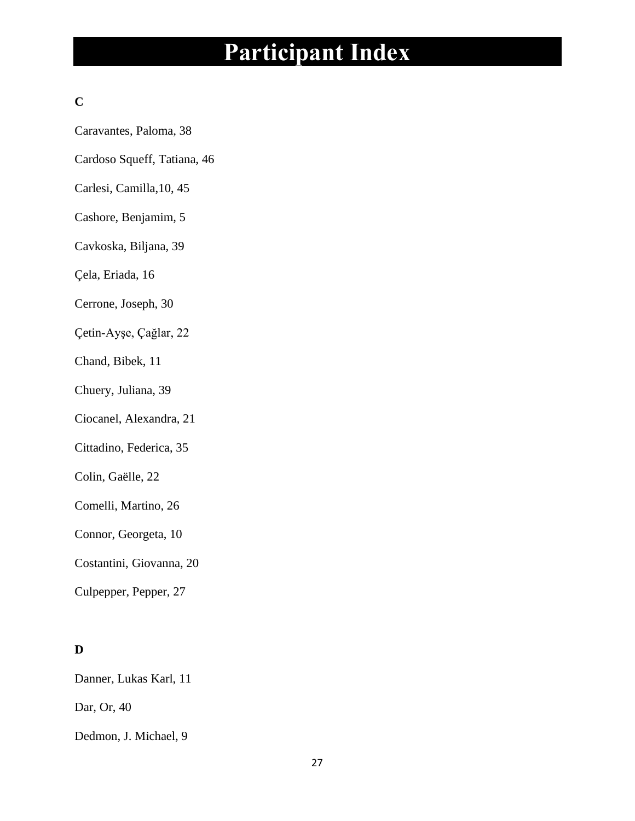# **C**

- Caravantes, Paloma, 38
- Cardoso Squeff, Tatiana, 46
- Carlesi, Camilla,10, 45
- Cashore, Benjamim, 5
- Cavkoska, Biljana, 39
- Çela, Eriada, 16
- Cerrone, Joseph, 30
- Çetin-Ayşe, Çağlar, 22
- Chand, Bibek, 11
- Chuery, Juliana, 39
- Ciocanel, Alexandra, 21
- Cittadino, Federica, 35
- Colin, Gaëlle, 22
- Comelli, Martino, 26
- Connor, Georgeta, 10
- Costantini, Giovanna, 20
- Culpepper, Pepper, 27

# **D**

Danner, Lukas Karl, 11

Dar, Or, 40

Dedmon, J. Michael, 9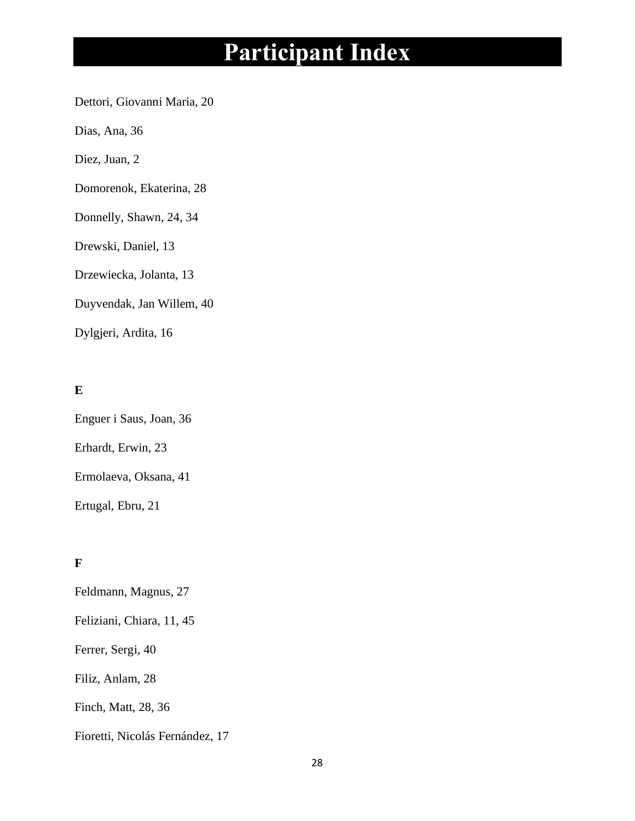Dettori, Giovanni Maria, 20

Dias, Ana, 36

Diez, Juan, 2

Domorenok, Ekaterina, 28

Donnelly, Shawn, 24, 34

Drewski, Daniel, 13

Drzewiecka, Jolanta, 13

Duyvendak, Jan Willem, 40

Dylgjeri, Ardita, 16

# **E**

Enguer i Saus, Joan, 36 Erhardt, Erwin, 23 Ermolaeva, Oksana, 41

Ertugal, Ebru, 21

# **F**

Feldmann, Magnus, 27

Feliziani, Chiara, 11, 45

Ferrer, Sergi, 40

Filiz, Anlam, 28

Finch, Matt, 28, 36

Fioretti, Nicolás Fernández, 17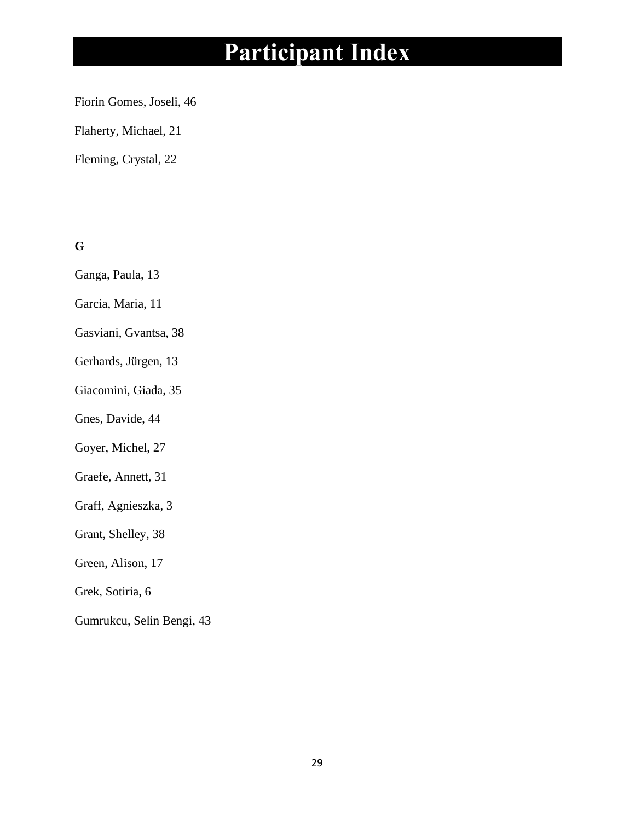Fiorin Gomes, Joseli, 46

Flaherty, Michael, 21

Fleming, Crystal, 22

**G**

- Ganga, Paula, 13
- Garcia, Maria, 11
- Gasviani, Gvantsa, 38
- Gerhards, Jürgen, 13
- Giacomini, Giada, 35
- Gnes, Davide, 44
- Goyer, Michel, 27
- Graefe, Annett, 31
- Graff, Agnieszka, 3
- Grant, Shelley, 38
- Green, Alison, 17
- Grek, Sotiria, 6
- Gumrukcu, Selin Bengi, 43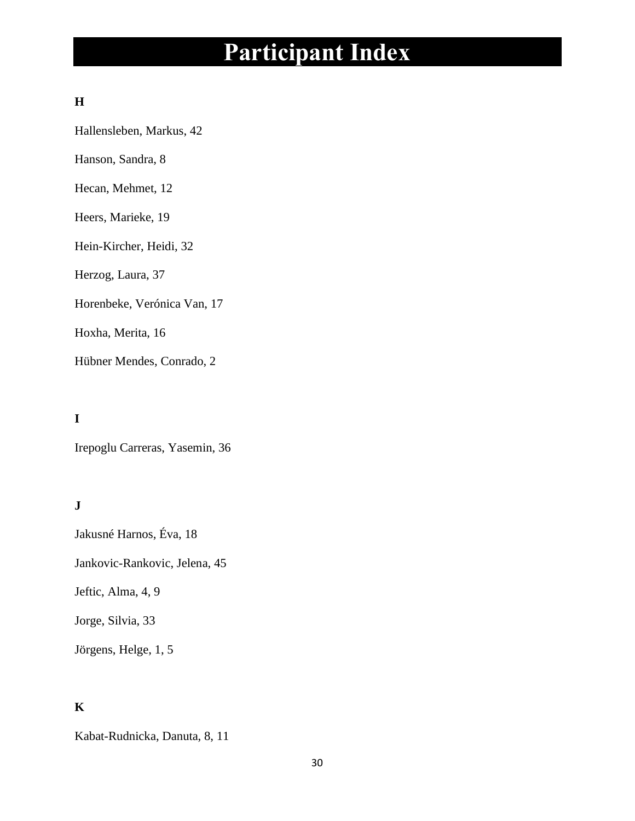# **H**

Hallensleben, Markus, 42

Hanson, Sandra, 8

Hecan, Mehmet, 12

# Heers, Marieke, 19

Hein-Kircher, Heidi, 32

Herzog, Laura, 37

Horenbeke, Verónica Van, 17

Hoxha, Merita, 16

Hübner Mendes, Conrado, 2

# **I**

Irepoglu Carreras, Yasemin, 36

# **J**

Jakusné Harnos, Éva, 18

Jankovic-Rankovic, Jelena, 45

Jeftic, Alma, 4, 9

Jorge, Silvia, 33

Jörgens, Helge, 1, 5

# **K**

Kabat-Rudnicka, Danuta, 8, 11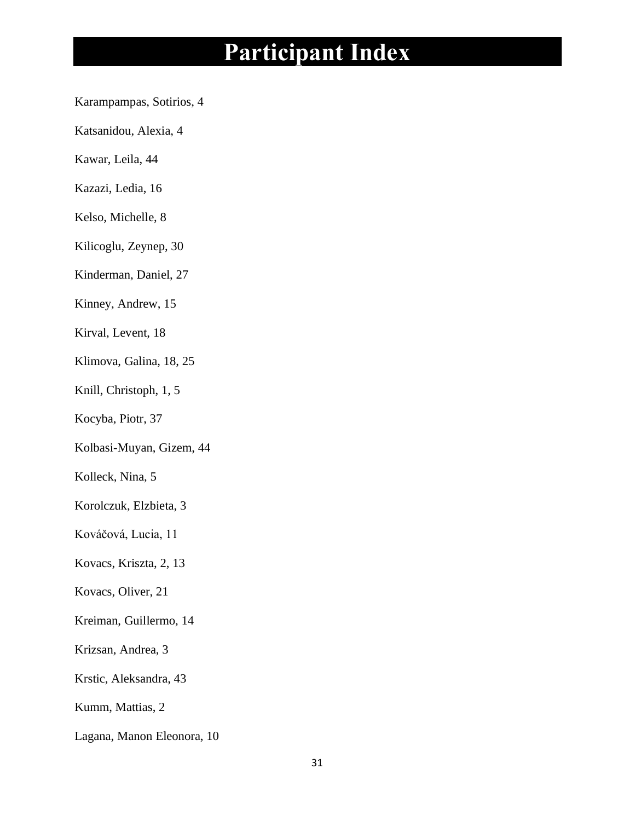- Karampampas, Sotirios, 4
- Katsanidou, Alexia, 4
- Kawar, Leila, 44
- Kazazi, Ledia, 16
- Kelso, Michelle, 8
- Kilicoglu, Zeynep, 30
- Kinderman, Daniel, 27
- Kinney, Andrew, 15
- Kirval, Levent, 18
- Klimova, Galina, 18, 25
- Knill, Christoph, 1, 5
- Kocyba, Piotr, 37
- Kolbasi-Muyan, Gizem, 44
- Kolleck, Nina, 5
- Korolczuk, Elzbieta, 3
- Kováčová, Lucia, 11
- Kovacs, Kriszta, 2, 13
- Kovacs, Oliver, 21
- Kreiman, Guillermo, 14
- Krizsan, Andrea, 3
- Krstic, Aleksandra, 43
- Kumm, Mattias, 2
- Lagana, Manon Eleonora, 10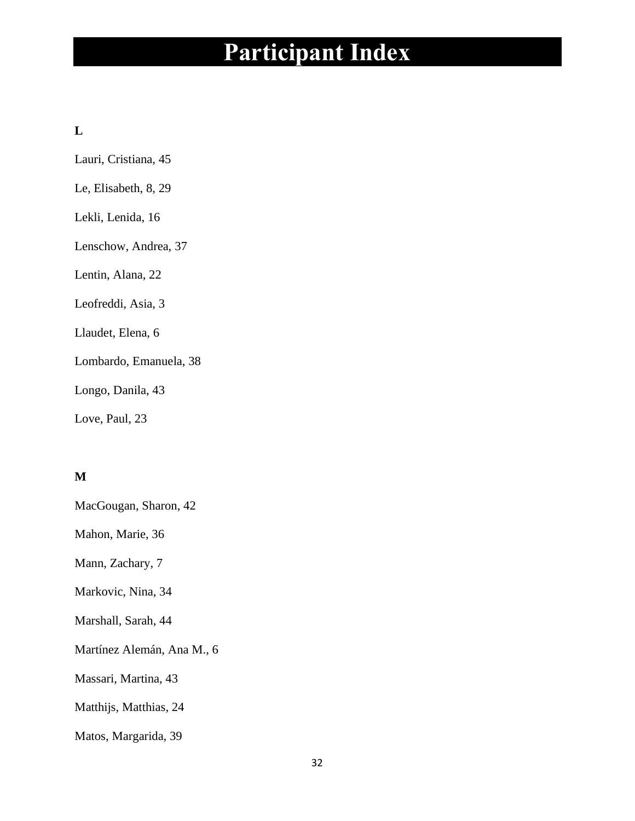# **L**

Lauri, Cristiana, 45

- Le, Elisabeth, 8, 29
- Lekli, Lenida, 16
- Lenschow, Andrea, 37

Lentin, Alana, 22

Leofreddi, Asia, 3

Llaudet, Elena, 6

Lombardo, Emanuela, 38

Longo, Danila, 43

Love, Paul, 23

# **M**

MacGougan, Sharon, 42

Mahon, Marie, 36

Mann, Zachary, 7

Markovic, Nina, 34

Marshall, Sarah, 44

Martínez Alemán, Ana M., 6

Massari, Martina, 43

Matthijs, Matthias, 24

Matos, Margarida, 39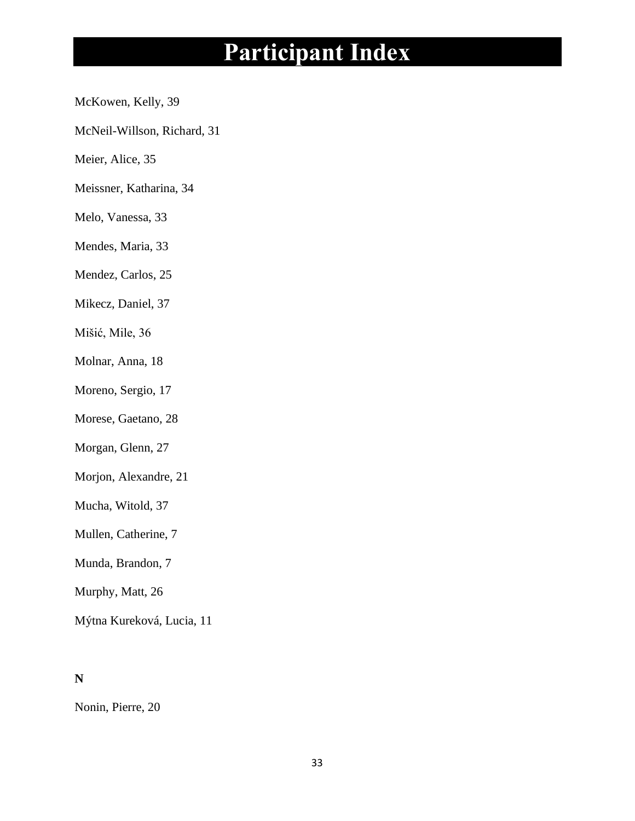- McKowen, Kelly, 39
- McNeil-Willson, Richard, 31
- Meier, Alice, 35
- Meissner, Katharina, 34
- Melo, Vanessa, 33
- Mendes, Maria, 33
- Mendez, Carlos, 25
- Mikecz, Daniel, 37
- Mišić, Mile, 36
- Molnar, Anna, 18
- Moreno, Sergio, 17
- Morese, Gaetano, 28
- Morgan, Glenn, 27
- Morjon, Alexandre, 21
- Mucha, Witold, 37
- Mullen, Catherine, 7
- Munda, Brandon, 7
- Murphy, Matt, 26
- Mýtna Kureková, Lucia, 11

# **N**

Nonin, Pierre, 20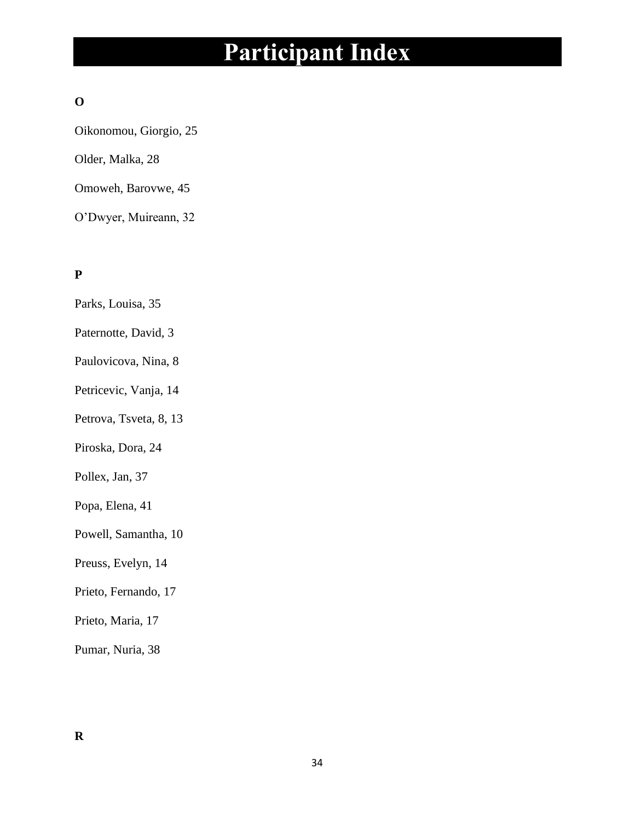# **O**

Oikonomou, Giorgio, 25 Older, Malka, 28 Omoweh, Barovwe, 45

O'Dwyer, Muireann, 32

# **P**

- Parks, Louisa, 35
- Paternotte, David, 3
- Paulovicova, Nina, 8
- Petricevic, Vanja, 14
- Petrova, Tsveta, 8, 13
- Piroska, Dora, 24
- Pollex, Jan, 37
- Popa, Elena, 41
- Powell, Samantha, 10
- Preuss, Evelyn, 14
- Prieto, Fernando, 17
- Prieto, Maria, 17
- Pumar, Nuria, 38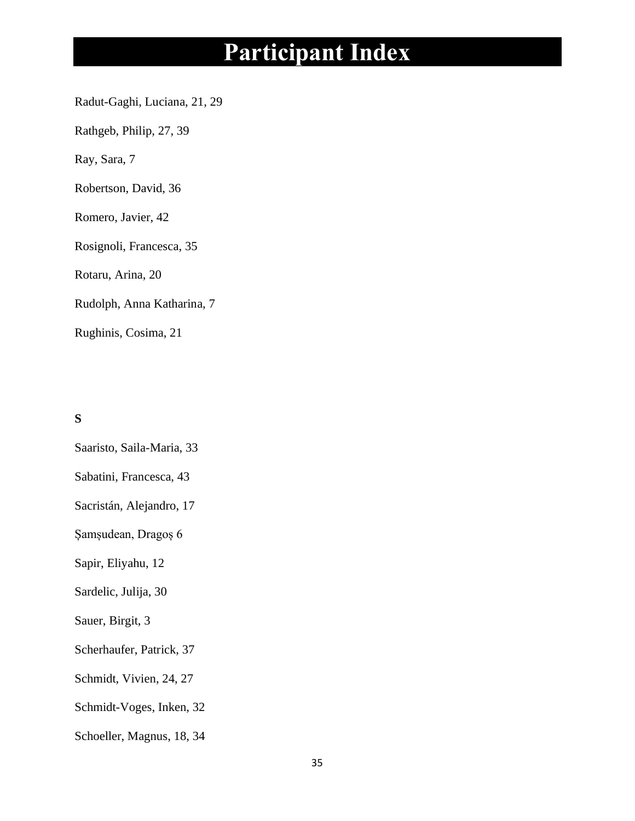Radut-Gaghi, Luciana, 21, 29

Rathgeb, Philip, 27, 39

Ray, Sara, 7

Robertson, David, 36

Romero, Javier, 42

Rosignoli, Francesca, 35

Rotaru, Arina, 20

Rudolph, Anna Katharina, 7

Rughinis, Cosima, 21

# **S**

Saaristo, Saila-Maria, 33

Sabatini, Francesca, 43

Sacristán, Alejandro, 17

Șamșudean, Dragoș 6

Sapir, Eliyahu, 12

Sardelic, Julija, 30

Sauer, Birgit, 3

Scherhaufer, Patrick, 37

Schmidt, Vivien, 24, 27

Schmidt-Voges, Inken, 32

Schoeller, Magnus, 18, 34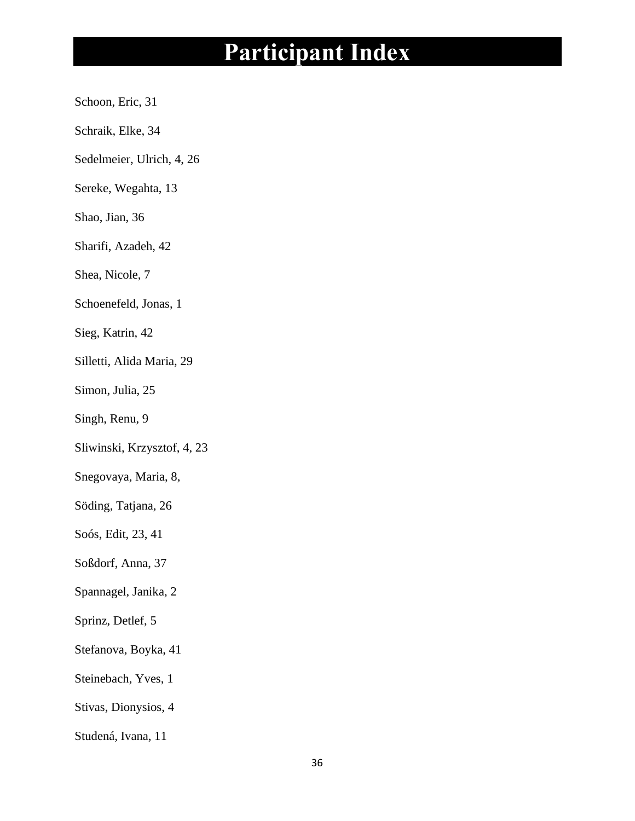- Schoon, Eric, 31
- Schraik, Elke, 34
- Sedelmeier, Ulrich, 4, 26
- Sereke, Wegahta, 13
- Shao, Jian, 36
- Sharifi, Azadeh, 42
- Shea, Nicole, 7
- Schoenefeld, Jonas, 1
- Sieg, Katrin, 42
- Silletti, Alida Maria, 29
- Simon, Julia, 25
- Singh, Renu, 9
- Sliwinski, Krzysztof, 4, 23
- Snegovaya, Maria, 8,
- Söding, Tatjana, 26
- Soós, Edit, 23, 41
- Soßdorf, Anna, 37
- Spannagel, Janika, 2
- Sprinz, Detlef, 5
- Stefanova, Boyka, 41
- Steinebach, Yves, 1
- Stivas, Dionysios, 4
- Studená, Ivana, 11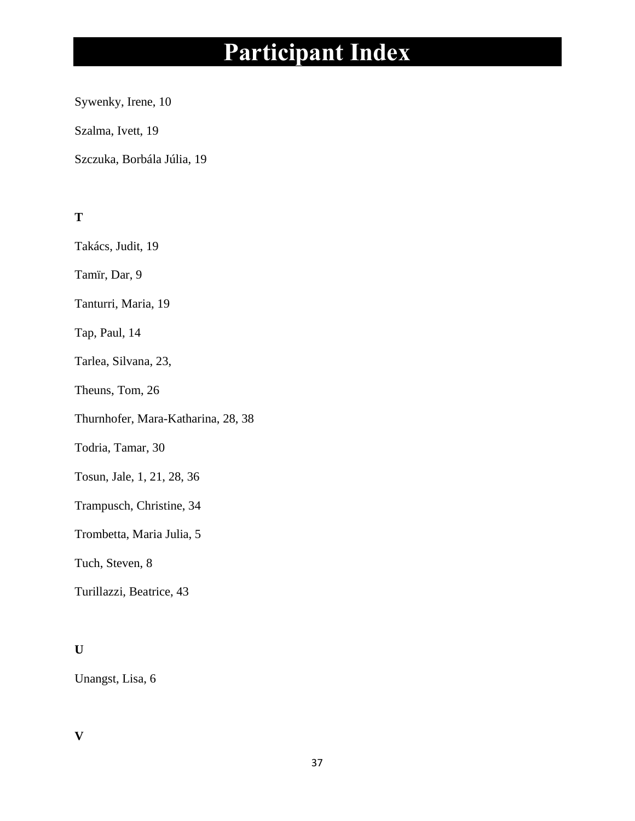Sywenky, Irene, 10

Szalma, Ivett, 19

Szczuka, Borbála Júlia, 19

**T**

Takács, Judit, 19

Tamïr, Dar, 9

Tanturri, Maria, 19

Tap, Paul, 14

Tarlea, Silvana, 23,

Theuns, Tom, 26

Thurnhofer, Mara-Katharina, 28, 38

Todria, Tamar, 30

Tosun, Jale, 1, 21, 28, 36

Trampusch, Christine, 34

Trombetta, Maria Julia, 5

Tuch, Steven, 8

Turillazzi, Beatrice, 43

# **U**

Unangst, Lisa, 6

# **V**